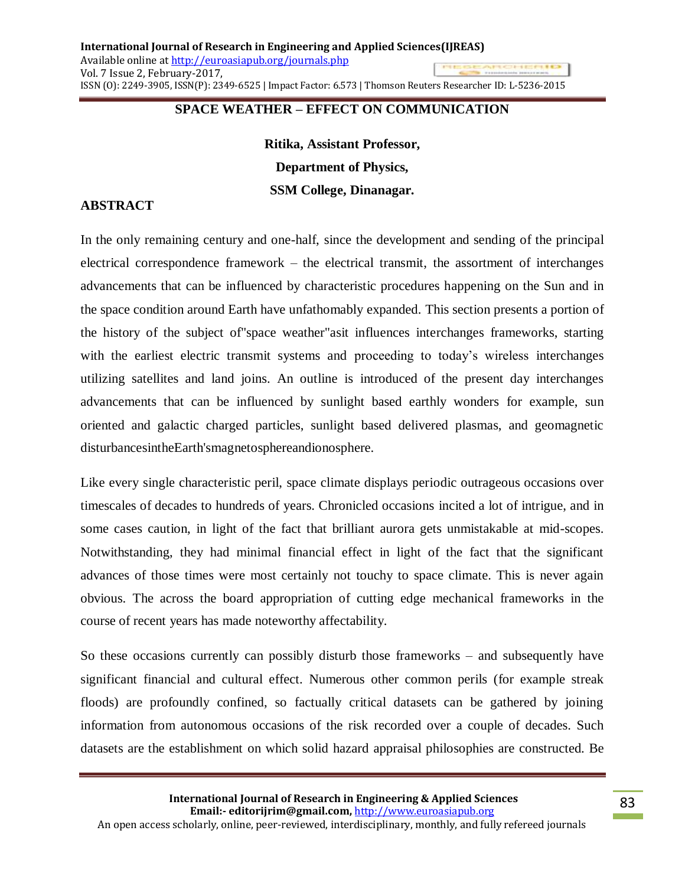# **SPACE WEATHER – EFFECT ON COMMUNICATION**

**Ritika, Assistant Professor, Department of Physics, SSM College, Dinanagar.**

### **ABSTRACT**

In the only remaining century and one-half, since the development and sending of the principal electrical correspondence framework – the electrical transmit, the assortment of interchanges advancements that can be influenced by characteristic procedures happening on the Sun and in the space condition around Earth have unfathomably expanded. This section presents a portion of the history of the subject of"space weather"asit influences interchanges frameworks, starting with the earliest electric transmit systems and proceeding to today's wireless interchanges utilizing satellites and land joins. An outline is introduced of the present day interchanges advancements that can be influenced by sunlight based earthly wonders for example, sun oriented and galactic charged particles, sunlight based delivered plasmas, and geomagnetic disturbancesintheEarth'smagnetosphereandionosphere.

Like every single characteristic peril, space climate displays periodic outrageous occasions over timescales of decades to hundreds of years. Chronicled occasions incited a lot of intrigue, and in some cases caution, in light of the fact that brilliant aurora gets unmistakable at mid-scopes. Notwithstanding, they had minimal financial effect in light of the fact that the significant advances of those times were most certainly not touchy to space climate. This is never again obvious. The across the board appropriation of cutting edge mechanical frameworks in the course of recent years has made noteworthy affectability.

So these occasions currently can possibly disturb those frameworks – and subsequently have significant financial and cultural effect. Numerous other common perils (for example streak floods) are profoundly confined, so factually critical datasets can be gathered by joining information from autonomous occasions of the risk recorded over a couple of decades. Such datasets are the establishment on which solid hazard appraisal philosophies are constructed. Be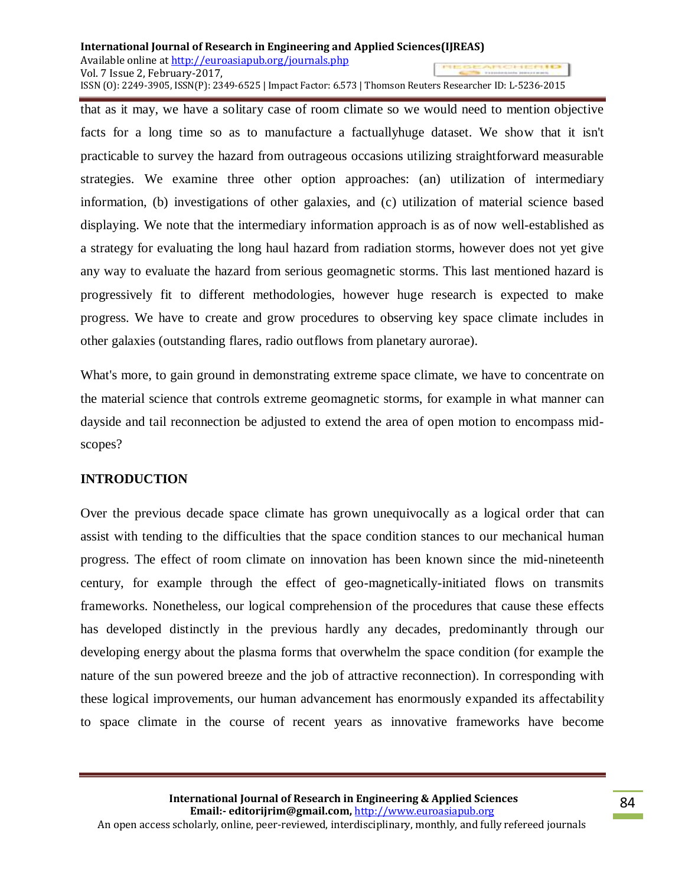that as it may, we have a solitary case of room climate so we would need to mention objective facts for a long time so as to manufacture a factuallyhuge dataset. We show that it isn't practicable to survey the hazard from outrageous occasions utilizing straightforward measurable strategies. We examine three other option approaches: (an) utilization of intermediary information, (b) investigations of other galaxies, and (c) utilization of material science based displaying. We note that the intermediary information approach is as of now well-established as a strategy for evaluating the long haul hazard from radiation storms, however does not yet give any way to evaluate the hazard from serious geomagnetic storms. This last mentioned hazard is progressively fit to different methodologies, however huge research is expected to make progress. We have to create and grow procedures to observing key space climate includes in other galaxies (outstanding flares, radio outflows from planetary aurorae).

What's more, to gain ground in demonstrating extreme space climate, we have to concentrate on the material science that controls extreme geomagnetic storms, for example in what manner can dayside and tail reconnection be adjusted to extend the area of open motion to encompass midscopes?

# **INTRODUCTION**

Over the previous decade space climate has grown unequivocally as a logical order that can assist with tending to the difficulties that the space condition stances to our mechanical human progress. The effect of room climate on innovation has been known since the mid-nineteenth century, for example through the effect of geo-magnetically-initiated flows on transmits frameworks. Nonetheless, our logical comprehension of the procedures that cause these effects has developed distinctly in the previous hardly any decades, predominantly through our developing energy about the plasma forms that overwhelm the space condition (for example the nature of the sun powered breeze and the job of attractive reconnection). In corresponding with these logical improvements, our human advancement has enormously expanded its affectability to space climate in the course of recent years as innovative frameworks have become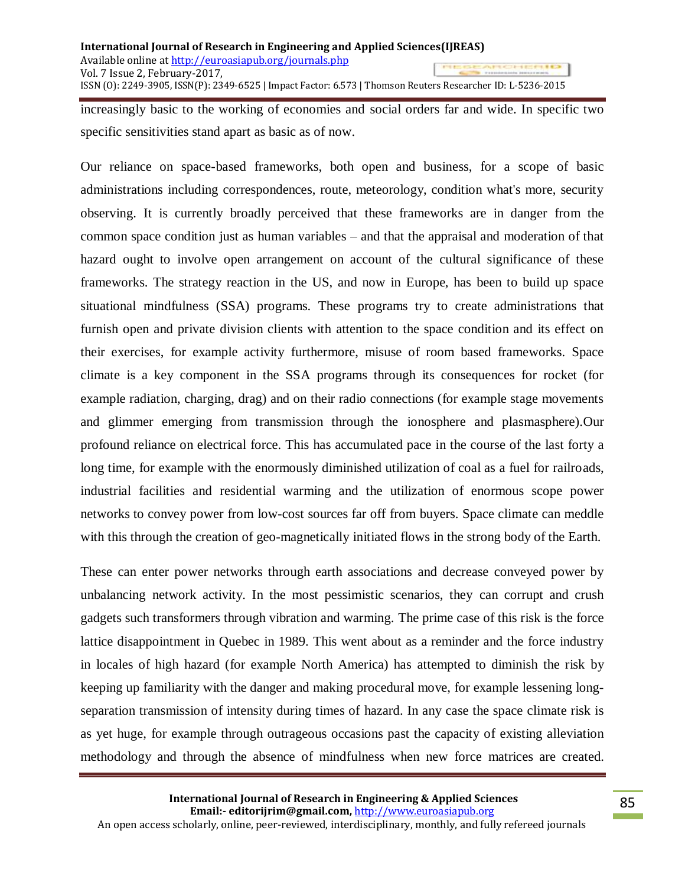increasingly basic to the working of economies and social orders far and wide. In specific two specific sensitivities stand apart as basic as of now.

Our reliance on space-based frameworks, both open and business, for a scope of basic administrations including correspondences, route, meteorology, condition what's more, security observing. It is currently broadly perceived that these frameworks are in danger from the common space condition just as human variables – and that the appraisal and moderation of that hazard ought to involve open arrangement on account of the cultural significance of these frameworks. The strategy reaction in the US, and now in Europe, has been to build up space situational mindfulness (SSA) programs. These programs try to create administrations that furnish open and private division clients with attention to the space condition and its effect on their exercises, for example activity furthermore, misuse of room based frameworks. Space climate is a key component in the SSA programs through its consequences for rocket (for example radiation, charging, drag) and on their radio connections (for example stage movements and glimmer emerging from transmission through the ionosphere and plasmasphere).Our profound reliance on electrical force. This has accumulated pace in the course of the last forty a long time, for example with the enormously diminished utilization of coal as a fuel for railroads, industrial facilities and residential warming and the utilization of enormous scope power networks to convey power from low-cost sources far off from buyers. Space climate can meddle with this through the creation of geo-magnetically initiated flows in the strong body of the Earth.

These can enter power networks through earth associations and decrease conveyed power by unbalancing network activity. In the most pessimistic scenarios, they can corrupt and crush gadgets such transformers through vibration and warming. The prime case of this risk is the force lattice disappointment in Quebec in 1989. This went about as a reminder and the force industry in locales of high hazard (for example North America) has attempted to diminish the risk by keeping up familiarity with the danger and making procedural move, for example lessening longseparation transmission of intensity during times of hazard. In any case the space climate risk is as yet huge, for example through outrageous occasions past the capacity of existing alleviation methodology and through the absence of mindfulness when new force matrices are created.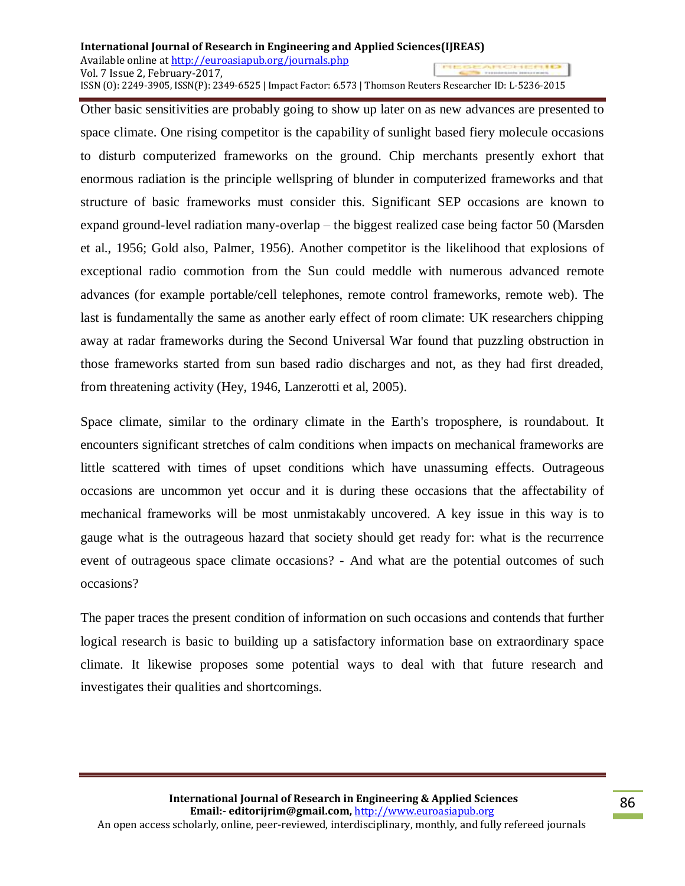Other basic sensitivities are probably going to show up later on as new advances are presented to space climate. One rising competitor is the capability of sunlight based fiery molecule occasions to disturb computerized frameworks on the ground. Chip merchants presently exhort that enormous radiation is the principle wellspring of blunder in computerized frameworks and that structure of basic frameworks must consider this. Significant SEP occasions are known to expand ground-level radiation many-overlap – the biggest realized case being factor 50 (Marsden et al., 1956; Gold also, Palmer, 1956). Another competitor is the likelihood that explosions of exceptional radio commotion from the Sun could meddle with numerous advanced remote advances (for example portable/cell telephones, remote control frameworks, remote web). The last is fundamentally the same as another early effect of room climate: UK researchers chipping away at radar frameworks during the Second Universal War found that puzzling obstruction in those frameworks started from sun based radio discharges and not, as they had first dreaded, from threatening activity (Hey, 1946, Lanzerotti et al, 2005).

Space climate, similar to the ordinary climate in the Earth's troposphere, is roundabout. It encounters significant stretches of calm conditions when impacts on mechanical frameworks are little scattered with times of upset conditions which have unassuming effects. Outrageous occasions are uncommon yet occur and it is during these occasions that the affectability of mechanical frameworks will be most unmistakably uncovered. A key issue in this way is to gauge what is the outrageous hazard that society should get ready for: what is the recurrence event of outrageous space climate occasions? - And what are the potential outcomes of such occasions?

The paper traces the present condition of information on such occasions and contends that further logical research is basic to building up a satisfactory information base on extraordinary space climate. It likewise proposes some potential ways to deal with that future research and investigates their qualities and shortcomings.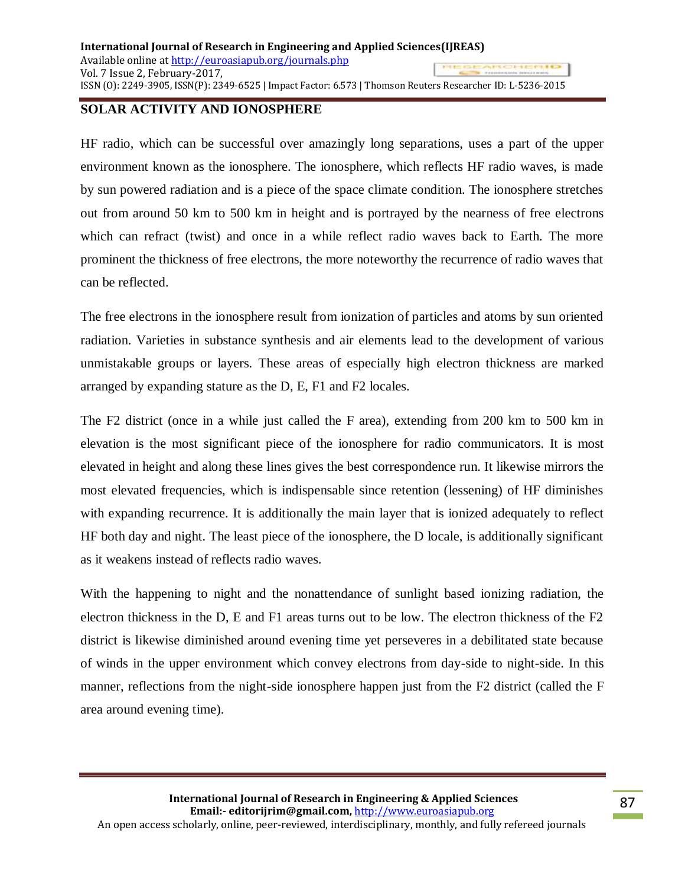### **SOLAR ACTIVITY AND IONOSPHERE**

HF radio, which can be successful over amazingly long separations, uses a part of the upper environment known as the ionosphere. The ionosphere, which reflects HF radio waves, is made by sun powered radiation and is a piece of the space climate condition. The ionosphere stretches out from around 50 km to 500 km in height and is portrayed by the nearness of free electrons which can refract (twist) and once in a while reflect radio waves back to Earth. The more prominent the thickness of free electrons, the more noteworthy the recurrence of radio waves that can be reflected.

The free electrons in the ionosphere result from ionization of particles and atoms by sun oriented radiation. Varieties in substance synthesis and air elements lead to the development of various unmistakable groups or layers. These areas of especially high electron thickness are marked arranged by expanding stature as the D, E, F1 and F2 locales.

The F2 district (once in a while just called the F area), extending from 200 km to 500 km in elevation is the most significant piece of the ionosphere for radio communicators. It is most elevated in height and along these lines gives the best correspondence run. It likewise mirrors the most elevated frequencies, which is indispensable since retention (lessening) of HF diminishes with expanding recurrence. It is additionally the main layer that is ionized adequately to reflect HF both day and night. The least piece of the ionosphere, the D locale, is additionally significant as it weakens instead of reflects radio waves.

With the happening to night and the nonattendance of sunlight based ionizing radiation, the electron thickness in the D, E and F1 areas turns out to be low. The electron thickness of the F2 district is likewise diminished around evening time yet perseveres in a debilitated state because of winds in the upper environment which convey electrons from day-side to night-side. In this manner, reflections from the night-side ionosphere happen just from the F2 district (called the F area around evening time).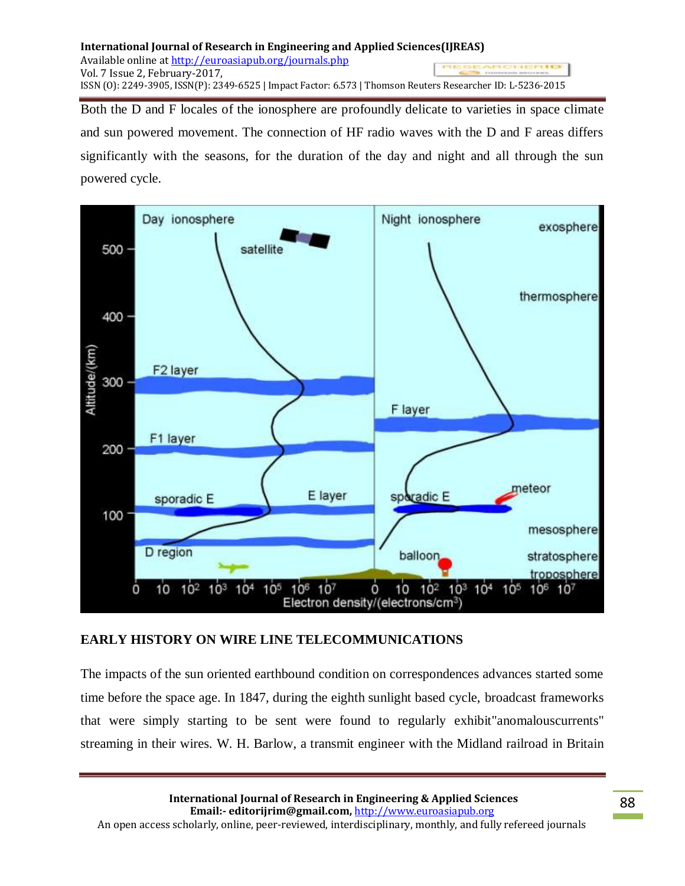Both the D and F locales of the ionosphere are profoundly delicate to varieties in space climate and sun powered movement. The connection of HF radio waves with the D and F areas differs significantly with the seasons, for the duration of the day and night and all through the sun powered cycle.



# **EARLY HISTORY ON WIRE LINE TELECOMMUNICATIONS**

The impacts of the sun oriented earthbound condition on correspondences advances started some time before the space age. In 1847, during the eighth sunlight based cycle, broadcast frameworks that were simply starting to be sent were found to regularly exhibit"anomalouscurrents" streaming in their wires. W. H. Barlow, a transmit engineer with the Midland railroad in Britain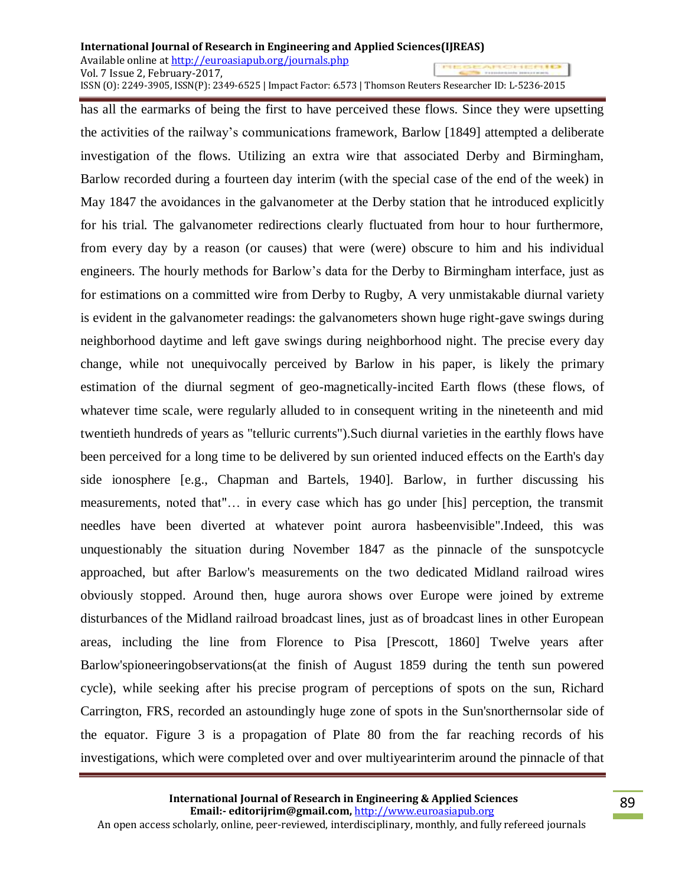### **International Journal of Research in Engineering and Applied Sciences(IJREAS)** Available online a[t http://euroasiapub.org/journals.php](http://euroasiapub.org/journals.php)  Vol. 7 Issue 2, February-2017,

ISSN (O): 2249-3905, ISSN(P): 2349-6525 | Impact Factor: 6.573 | Thomson Reuters Researcher ID: L-5236-2015

has all the earmarks of being the first to have perceived these flows. Since they were upsetting the activities of the railway's communications framework, Barlow [1849] attempted a deliberate investigation of the flows. Utilizing an extra wire that associated Derby and Birmingham, Barlow recorded during a fourteen day interim (with the special case of the end of the week) in May 1847 the avoidances in the galvanometer at the Derby station that he introduced explicitly for his trial. The galvanometer redirections clearly fluctuated from hour to hour furthermore, from every day by a reason (or causes) that were (were) obscure to him and his individual engineers. The hourly methods for Barlow's data for the Derby to Birmingham interface, just as for estimations on a committed wire from Derby to Rugby, A very unmistakable diurnal variety is evident in the galvanometer readings: the galvanometers shown huge right-gave swings during neighborhood daytime and left gave swings during neighborhood night. The precise every day change, while not unequivocally perceived by Barlow in his paper, is likely the primary estimation of the diurnal segment of geo-magnetically-incited Earth flows (these flows, of whatever time scale, were regularly alluded to in consequent writing in the nineteenth and mid twentieth hundreds of years as "telluric currents").Such diurnal varieties in the earthly flows have been perceived for a long time to be delivered by sun oriented induced effects on the Earth's day side ionosphere [e.g., Chapman and Bartels, 1940]. Barlow, in further discussing his measurements, noted that"… in every case which has go under [his] perception, the transmit needles have been diverted at whatever point aurora hasbeenvisible".Indeed, this was unquestionably the situation during November 1847 as the pinnacle of the sunspotcycle approached, but after Barlow's measurements on the two dedicated Midland railroad wires obviously stopped. Around then, huge aurora shows over Europe were joined by extreme disturbances of the Midland railroad broadcast lines, just as of broadcast lines in other European areas, including the line from Florence to Pisa [Prescott, 1860] Twelve years after Barlow'spioneeringobservations(at the finish of August 1859 during the tenth sun powered cycle), while seeking after his precise program of perceptions of spots on the sun, Richard Carrington, FRS, recorded an astoundingly huge zone of spots in the Sun'snorthernsolar side of the equator. Figure 3 is a propagation of Plate 80 from the far reaching records of his investigations, which were completed over and over multiyearinterim around the pinnacle of that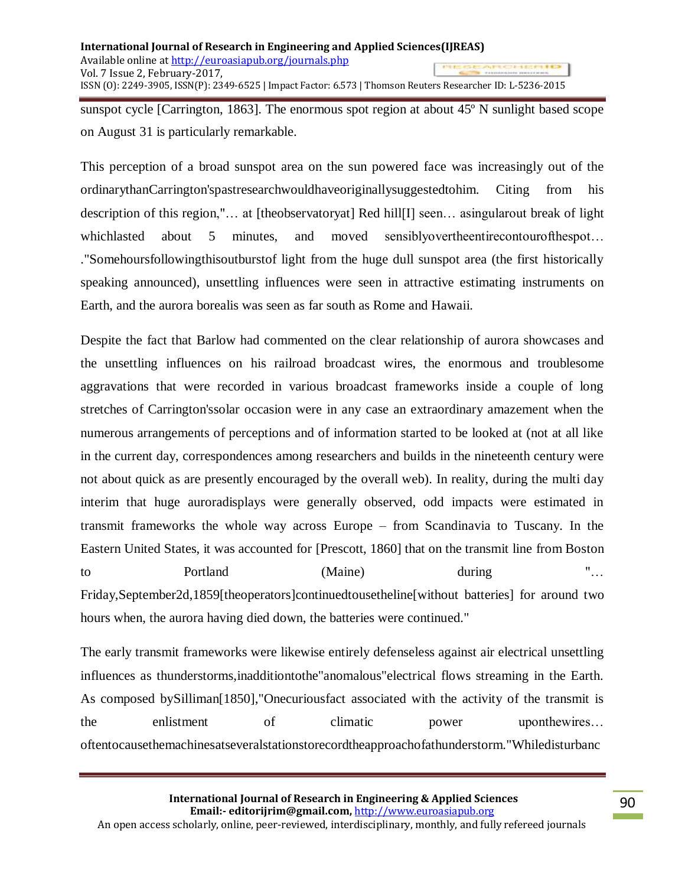sunspot cycle [Carrington, 1863]. The enormous spot region at about 45º N sunlight based scope on August 31 is particularly remarkable.

This perception of a broad sunspot area on the sun powered face was increasingly out of the ordinarythanCarrington'spastresearchwouldhaveoriginallysuggestedtohim. Citing from his description of this region,"… at [theobservatoryat] Red hill[I] seen… asingularout break of light which lasted about 5 minutes, and moved sensibly over the entire contourof the spot... ."Somehoursfollowingthisoutburstof light from the huge dull sunspot area (the first historically speaking announced), unsettling influences were seen in attractive estimating instruments on Earth, and the aurora borealis was seen as far south as Rome and Hawaii.

Despite the fact that Barlow had commented on the clear relationship of aurora showcases and the unsettling influences on his railroad broadcast wires, the enormous and troublesome aggravations that were recorded in various broadcast frameworks inside a couple of long stretches of Carrington'ssolar occasion were in any case an extraordinary amazement when the numerous arrangements of perceptions and of information started to be looked at (not at all like in the current day, correspondences among researchers and builds in the nineteenth century were not about quick as are presently encouraged by the overall web). In reality, during the multi day interim that huge auroradisplays were generally observed, odd impacts were estimated in transmit frameworks the whole way across Europe – from Scandinavia to Tuscany. In the Eastern United States, it was accounted for [Prescott, 1860] that on the transmit line from Boston to Portland (Maine) during "... Friday,September2d,1859[theoperators]continuedtousetheline[without batteries] for around two hours when, the aurora having died down, the batteries were continued."

The early transmit frameworks were likewise entirely defenseless against air electrical unsettling influences as thunderstorms,inadditiontothe"anomalous"electrical flows streaming in the Earth. As composed bySilliman[1850],"Onecuriousfact associated with the activity of the transmit is the enlistment of climatic power uponthewires... oftentocausethemachinesatseveralstationstorecordtheapproachofathunderstorm."Whiledisturbanc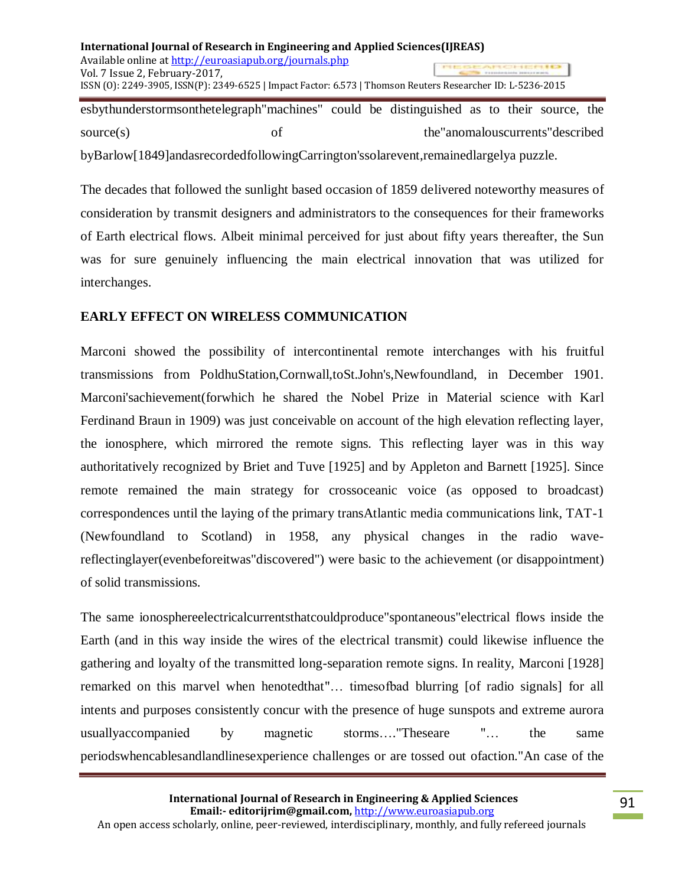esbythunderstormsonthetelegraph"machines" could be distinguished as to their source, the source(s) of the "anomalouscurrents" described byBarlow[1849]andasrecordedfollowingCarrington'ssolarevent,remainedlargelya puzzle.

The decades that followed the sunlight based occasion of 1859 delivered noteworthy measures of consideration by transmit designers and administrators to the consequences for their frameworks of Earth electrical flows. Albeit minimal perceived for just about fifty years thereafter, the Sun was for sure genuinely influencing the main electrical innovation that was utilized for interchanges.

# **EARLY EFFECT ON WIRELESS COMMUNICATION**

Marconi showed the possibility of intercontinental remote interchanges with his fruitful transmissions from PoldhuStation,Cornwall,toSt.John's,Newfoundland, in December 1901. Marconi'sachievement(forwhich he shared the Nobel Prize in Material science with Karl Ferdinand Braun in 1909) was just conceivable on account of the high elevation reflecting layer, the ionosphere, which mirrored the remote signs. This reflecting layer was in this way authoritatively recognized by Briet and Tuve [1925] and by Appleton and Barnett [1925]. Since remote remained the main strategy for crossoceanic voice (as opposed to broadcast) correspondences until the laying of the primary transAtlantic media communications link, TAT-1 (Newfoundland to Scotland) in 1958, any physical changes in the radio wavereflectinglayer(evenbeforeitwas"discovered") were basic to the achievement (or disappointment) of solid transmissions.

The same ionosphereelectricalcurrentsthatcouldproduce"spontaneous"electrical flows inside the Earth (and in this way inside the wires of the electrical transmit) could likewise influence the gathering and loyalty of the transmitted long-separation remote signs. In reality, Marconi [1928] remarked on this marvel when henotedthat"… timesofbad blurring [of radio signals] for all intents and purposes consistently concur with the presence of huge sunspots and extreme aurora usuallyaccompanied by magnetic storms…."Theseare "… the same periodswhencablesandlandlinesexperience challenges or are tossed out ofaction."An case of the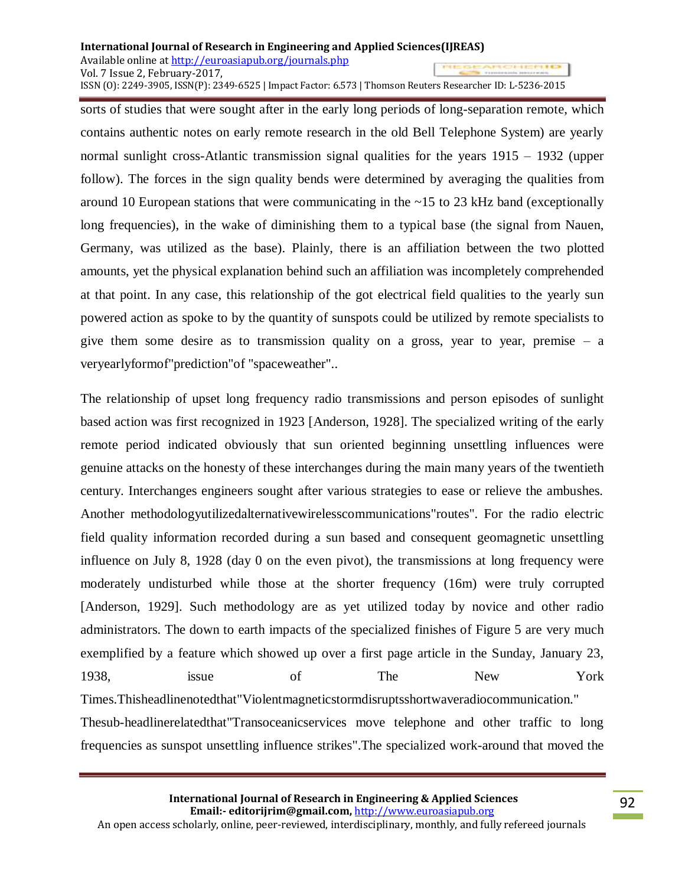sorts of studies that were sought after in the early long periods of long-separation remote, which contains authentic notes on early remote research in the old Bell Telephone System) are yearly normal sunlight cross-Atlantic transmission signal qualities for the years 1915 – 1932 (upper follow). The forces in the sign quality bends were determined by averaging the qualities from around 10 European stations that were communicating in the ~15 to 23 kHz band (exceptionally long frequencies), in the wake of diminishing them to a typical base (the signal from Nauen, Germany, was utilized as the base). Plainly, there is an affiliation between the two plotted amounts, yet the physical explanation behind such an affiliation was incompletely comprehended at that point. In any case, this relationship of the got electrical field qualities to the yearly sun powered action as spoke to by the quantity of sunspots could be utilized by remote specialists to give them some desire as to transmission quality on a gross, year to year, premise  $-$  a veryearlyformof"prediction"of "spaceweather"..

The relationship of upset long frequency radio transmissions and person episodes of sunlight based action was first recognized in 1923 [Anderson, 1928]. The specialized writing of the early remote period indicated obviously that sun oriented beginning unsettling influences were genuine attacks on the honesty of these interchanges during the main many years of the twentieth century. Interchanges engineers sought after various strategies to ease or relieve the ambushes. Another methodologyutilizedalternativewirelesscommunications"routes". For the radio electric field quality information recorded during a sun based and consequent geomagnetic unsettling influence on July 8, 1928 (day 0 on the even pivot), the transmissions at long frequency were moderately undisturbed while those at the shorter frequency (16m) were truly corrupted [Anderson, 1929]. Such methodology are as yet utilized today by novice and other radio administrators. The down to earth impacts of the specialized finishes of Figure 5 are very much exemplified by a feature which showed up over a first page article in the Sunday, January 23, 1938, issue of The New York Times.Thisheadlinenotedthat"Violentmagneticstormdisruptsshortwaveradiocommunication." Thesub-headlinerelatedthat"Transoceanicservices move telephone and other traffic to long frequencies as sunspot unsettling influence strikes".The specialized work-around that moved the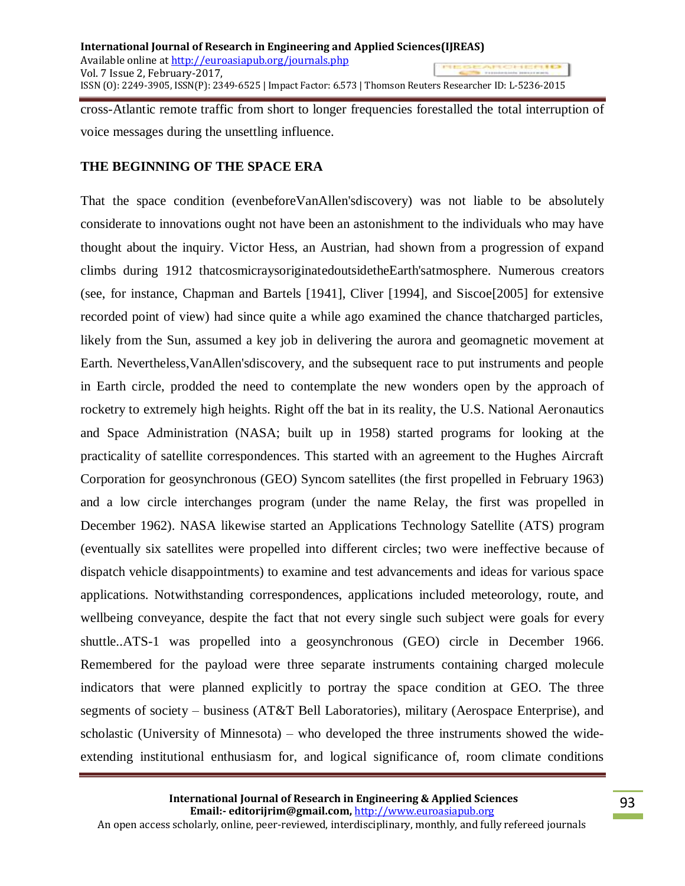cross-Atlantic remote traffic from short to longer frequencies forestalled the total interruption of voice messages during the unsettling influence.

## **THE BEGINNING OF THE SPACE ERA**

That the space condition (evenbeforeVanAllen'sdiscovery) was not liable to be absolutely considerate to innovations ought not have been an astonishment to the individuals who may have thought about the inquiry. Victor Hess, an Austrian, had shown from a progression of expand climbs during 1912 thatcosmicraysoriginatedoutsidetheEarth'satmosphere. Numerous creators (see, for instance, Chapman and Bartels [1941], Cliver [1994], and Siscoe[2005] for extensive recorded point of view) had since quite a while ago examined the chance thatcharged particles, likely from the Sun, assumed a key job in delivering the aurora and geomagnetic movement at Earth. Nevertheless,VanAllen'sdiscovery, and the subsequent race to put instruments and people in Earth circle, prodded the need to contemplate the new wonders open by the approach of rocketry to extremely high heights. Right off the bat in its reality, the U.S. National Aeronautics and Space Administration (NASA; built up in 1958) started programs for looking at the practicality of satellite correspondences. This started with an agreement to the Hughes Aircraft Corporation for geosynchronous (GEO) Syncom satellites (the first propelled in February 1963) and a low circle interchanges program (under the name Relay, the first was propelled in December 1962). NASA likewise started an Applications Technology Satellite (ATS) program (eventually six satellites were propelled into different circles; two were ineffective because of dispatch vehicle disappointments) to examine and test advancements and ideas for various space applications. Notwithstanding correspondences, applications included meteorology, route, and wellbeing conveyance, despite the fact that not every single such subject were goals for every shuttle..ATS-1 was propelled into a geosynchronous (GEO) circle in December 1966. Remembered for the payload were three separate instruments containing charged molecule indicators that were planned explicitly to portray the space condition at GEO. The three segments of society – business (AT&T Bell Laboratories), military (Aerospace Enterprise), and scholastic (University of Minnesota) – who developed the three instruments showed the wideextending institutional enthusiasm for, and logical significance of, room climate conditions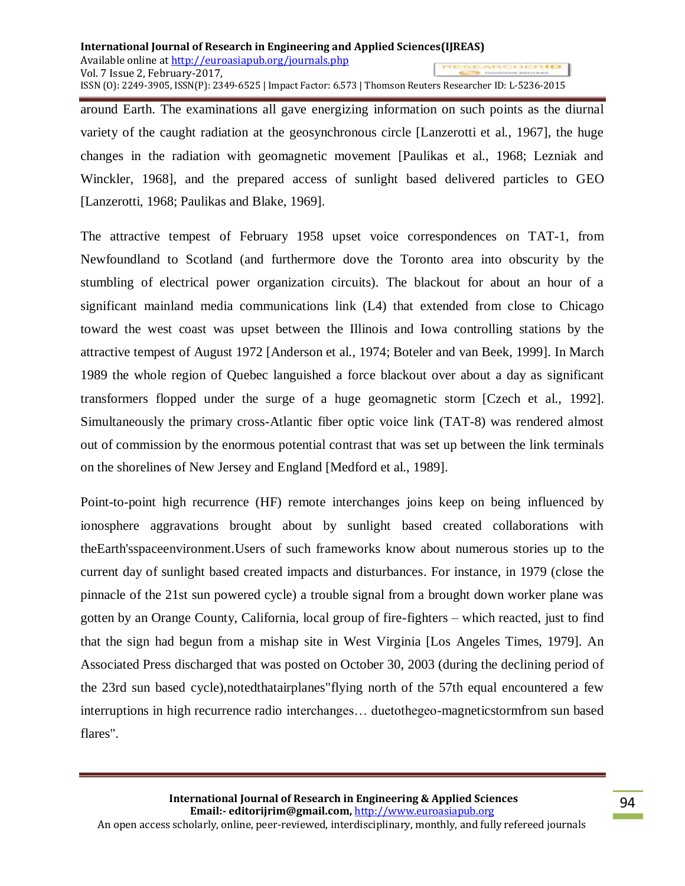around Earth. The examinations all gave energizing information on such points as the diurnal variety of the caught radiation at the geosynchronous circle [Lanzerotti et al., 1967], the huge changes in the radiation with geomagnetic movement [Paulikas et al., 1968; Lezniak and Winckler, 1968], and the prepared access of sunlight based delivered particles to GEO [Lanzerotti, 1968; Paulikas and Blake, 1969].

The attractive tempest of February 1958 upset voice correspondences on TAT-1, from Newfoundland to Scotland (and furthermore dove the Toronto area into obscurity by the stumbling of electrical power organization circuits). The blackout for about an hour of a significant mainland media communications link (L4) that extended from close to Chicago toward the west coast was upset between the Illinois and Iowa controlling stations by the attractive tempest of August 1972 [Anderson et al., 1974; Boteler and van Beek, 1999]. In March 1989 the whole region of Quebec languished a force blackout over about a day as significant transformers flopped under the surge of a huge geomagnetic storm [Czech et al., 1992]. Simultaneously the primary cross-Atlantic fiber optic voice link (TAT-8) was rendered almost out of commission by the enormous potential contrast that was set up between the link terminals on the shorelines of New Jersey and England [Medford et al., 1989].

Point-to-point high recurrence (HF) remote interchanges joins keep on being influenced by ionosphere aggravations brought about by sunlight based created collaborations with theEarth'sspaceenvironment.Users of such frameworks know about numerous stories up to the current day of sunlight based created impacts and disturbances. For instance, in 1979 (close the pinnacle of the 21st sun powered cycle) a trouble signal from a brought down worker plane was gotten by an Orange County, California, local group of fire-fighters – which reacted, just to find that the sign had begun from a mishap site in West Virginia [Los Angeles Times, 1979]. An Associated Press discharged that was posted on October 30, 2003 (during the declining period of the 23rd sun based cycle),notedthatairplanes"flying north of the 57th equal encountered a few interruptions in high recurrence radio interchanges… duetothegeo-magneticstormfrom sun based flares".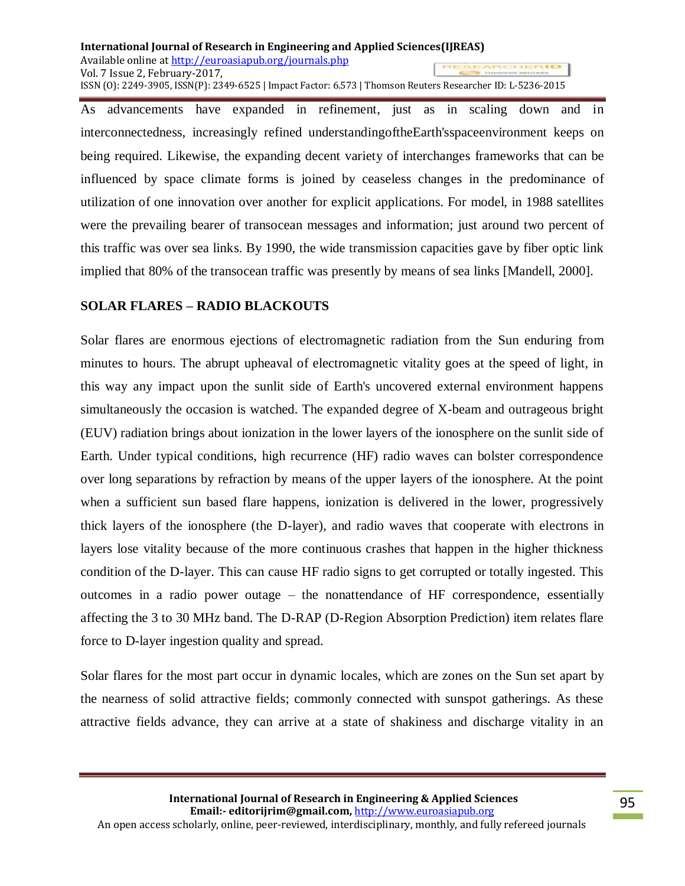As advancements have expanded in refinement, just as in scaling down and in interconnectedness, increasingly refined understandingoftheEarth'sspaceenvironment keeps on being required. Likewise, the expanding decent variety of interchanges frameworks that can be influenced by space climate forms is joined by ceaseless changes in the predominance of utilization of one innovation over another for explicit applications. For model, in 1988 satellites were the prevailing bearer of transocean messages and information; just around two percent of this traffic was over sea links. By 1990, the wide transmission capacities gave by fiber optic link implied that 80% of the transocean traffic was presently by means of sea links [Mandell, 2000].

# **SOLAR FLARES – RADIO BLACKOUTS**

Solar flares are enormous ejections of electromagnetic radiation from the Sun enduring from minutes to hours. The abrupt upheaval of electromagnetic vitality goes at the speed of light, in this way any impact upon the sunlit side of Earth's uncovered external environment happens simultaneously the occasion is watched. The expanded degree of X-beam and outrageous bright (EUV) radiation brings about ionization in the lower layers of the ionosphere on the sunlit side of Earth. Under typical conditions, high recurrence (HF) radio waves can bolster correspondence over long separations by refraction by means of the upper layers of the ionosphere. At the point when a sufficient sun based flare happens, ionization is delivered in the lower, progressively thick layers of the ionosphere (the D-layer), and radio waves that cooperate with electrons in layers lose vitality because of the more continuous crashes that happen in the higher thickness condition of the D-layer. This can cause HF radio signs to get corrupted or totally ingested. This outcomes in a radio power outage – the nonattendance of HF correspondence, essentially affecting the 3 to 30 MHz band. The D-RAP (D-Region Absorption Prediction) item relates flare force to D-layer ingestion quality and spread.

Solar flares for the most part occur in dynamic locales, which are zones on the Sun set apart by the nearness of solid attractive fields; commonly connected with sunspot gatherings. As these attractive fields advance, they can arrive at a state of shakiness and discharge vitality in an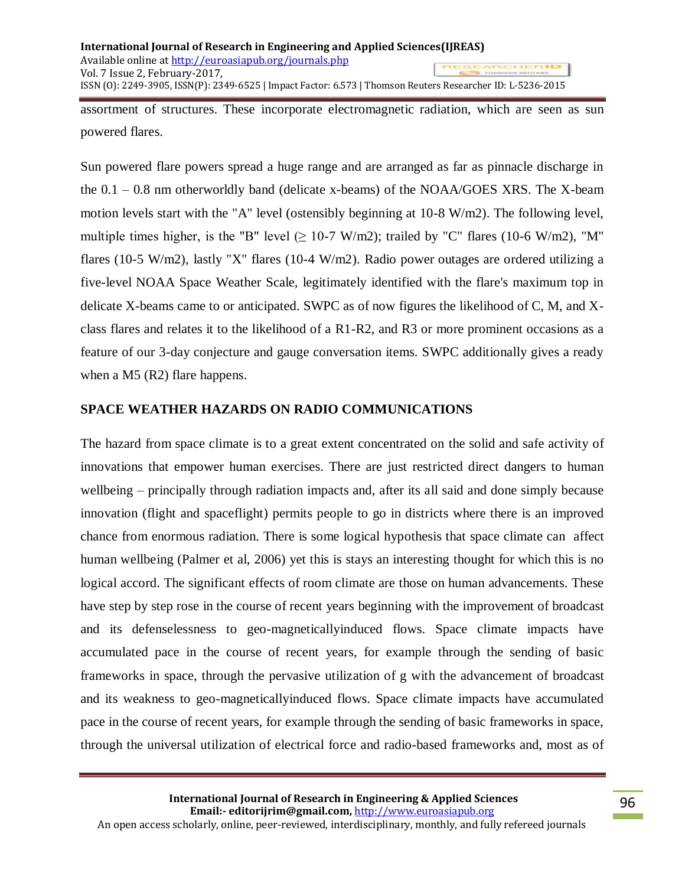assortment of structures. These incorporate electromagnetic radiation, which are seen as sun powered flares.

Sun powered flare powers spread a huge range and are arranged as far as pinnacle discharge in the 0.1 – 0.8 nm otherworldly band (delicate x-beams) of the NOAA/GOES XRS. The X-beam motion levels start with the "A" level (ostensibly beginning at 10-8 W/m2). The following level, multiple times higher, is the "B" level ( $\geq$  10-7 W/m2); trailed by "C" flares (10-6 W/m2), "M" flares (10-5 W/m2), lastly "X" flares (10-4 W/m2). Radio power outages are ordered utilizing a five-level NOAA Space Weather Scale, legitimately identified with the flare's maximum top in delicate X-beams came to or anticipated. SWPC as of now figures the likelihood of C, M, and Xclass flares and relates it to the likelihood of a R1-R2, and R3 or more prominent occasions as a feature of our 3-day conjecture and gauge conversation items. SWPC additionally gives a ready when a M5 (R2) flare happens.

# **SPACE WEATHER HAZARDS ON RADIO COMMUNICATIONS**

The hazard from space climate is to a great extent concentrated on the solid and safe activity of innovations that empower human exercises. There are just restricted direct dangers to human wellbeing – principally through radiation impacts and, after its all said and done simply because innovation (flight and spaceflight) permits people to go in districts where there is an improved chance from enormous radiation. There is some logical hypothesis that space climate can affect human wellbeing (Palmer et al, 2006) yet this is stays an interesting thought for which this is no logical accord. The significant effects of room climate are those on human advancements. These have step by step rose in the course of recent years beginning with the improvement of broadcast and its defenselessness to geo-magneticallyinduced flows. Space climate impacts have accumulated pace in the course of recent years, for example through the sending of basic frameworks in space, through the pervasive utilization of g with the advancement of broadcast and its weakness to geo-magneticallyinduced flows. Space climate impacts have accumulated pace in the course of recent years, for example through the sending of basic frameworks in space, through the universal utilization of electrical force and radio-based frameworks and, most as of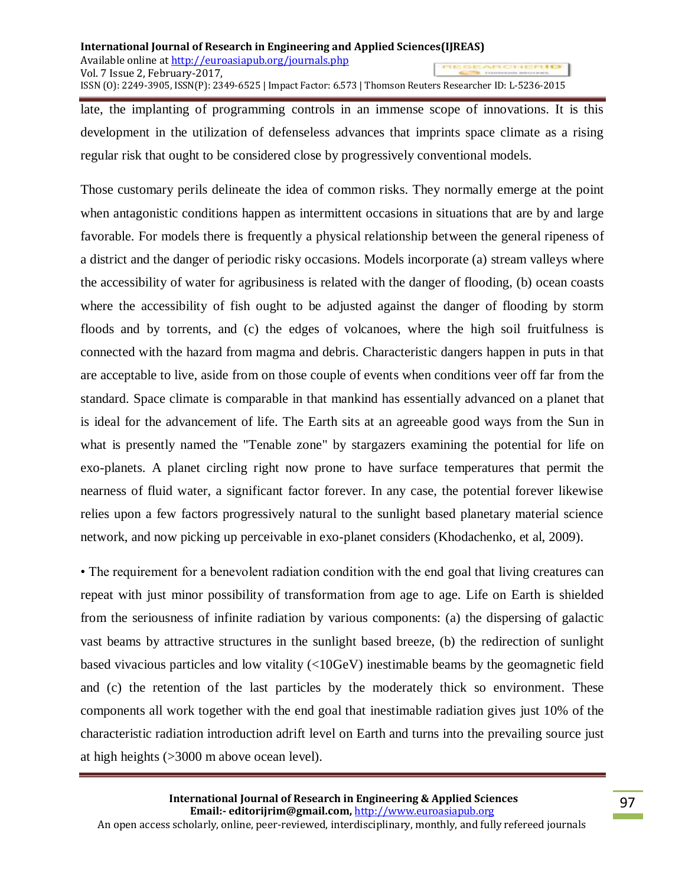late, the implanting of programming controls in an immense scope of innovations. It is this development in the utilization of defenseless advances that imprints space climate as a rising regular risk that ought to be considered close by progressively conventional models.

Those customary perils delineate the idea of common risks. They normally emerge at the point when antagonistic conditions happen as intermittent occasions in situations that are by and large favorable. For models there is frequently a physical relationship between the general ripeness of a district and the danger of periodic risky occasions. Models incorporate (a) stream valleys where the accessibility of water for agribusiness is related with the danger of flooding, (b) ocean coasts where the accessibility of fish ought to be adjusted against the danger of flooding by storm floods and by torrents, and (c) the edges of volcanoes, where the high soil fruitfulness is connected with the hazard from magma and debris. Characteristic dangers happen in puts in that are acceptable to live, aside from on those couple of events when conditions veer off far from the standard. Space climate is comparable in that mankind has essentially advanced on a planet that is ideal for the advancement of life. The Earth sits at an agreeable good ways from the Sun in what is presently named the "Tenable zone" by stargazers examining the potential for life on exo-planets. A planet circling right now prone to have surface temperatures that permit the nearness of fluid water, a significant factor forever. In any case, the potential forever likewise relies upon a few factors progressively natural to the sunlight based planetary material science network, and now picking up perceivable in exo-planet considers (Khodachenko, et al, 2009).

• The requirement for a benevolent radiation condition with the end goal that living creatures can repeat with just minor possibility of transformation from age to age. Life on Earth is shielded from the seriousness of infinite radiation by various components: (a) the dispersing of galactic vast beams by attractive structures in the sunlight based breeze, (b) the redirection of sunlight based vivacious particles and low vitality (<10GeV) inestimable beams by the geomagnetic field and (c) the retention of the last particles by the moderately thick so environment. These components all work together with the end goal that inestimable radiation gives just 10% of the characteristic radiation introduction adrift level on Earth and turns into the prevailing source just at high heights (>3000 m above ocean level).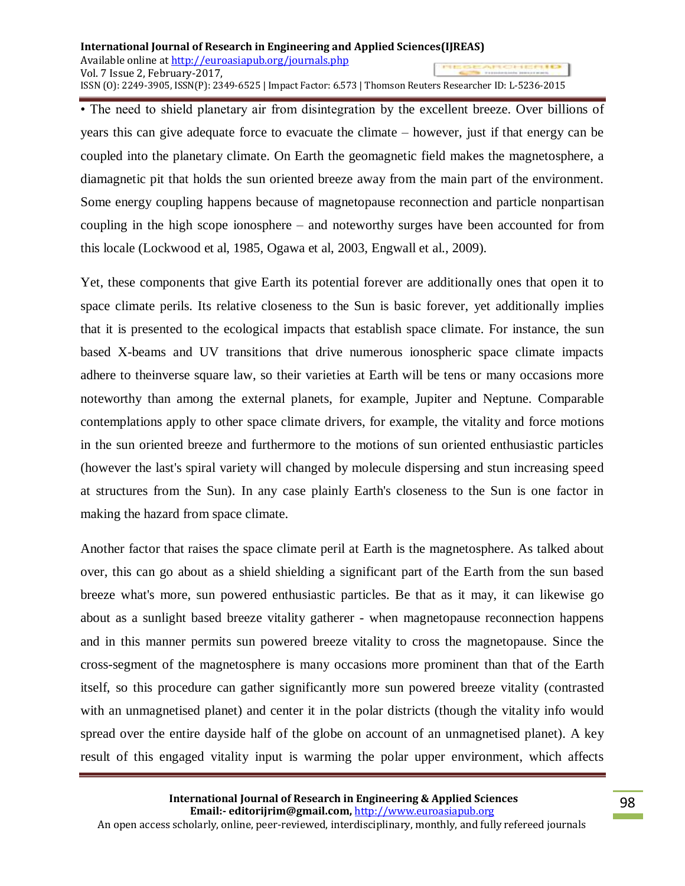• The need to shield planetary air from disintegration by the excellent breeze. Over billions of years this can give adequate force to evacuate the climate – however, just if that energy can be coupled into the planetary climate. On Earth the geomagnetic field makes the magnetosphere, a diamagnetic pit that holds the sun oriented breeze away from the main part of the environment. Some energy coupling happens because of magnetopause reconnection and particle nonpartisan coupling in the high scope ionosphere – and noteworthy surges have been accounted for from this locale (Lockwood et al, 1985, Ogawa et al, 2003, Engwall et al., 2009).

Yet, these components that give Earth its potential forever are additionally ones that open it to space climate perils. Its relative closeness to the Sun is basic forever, yet additionally implies that it is presented to the ecological impacts that establish space climate. For instance, the sun based X-beams and UV transitions that drive numerous ionospheric space climate impacts adhere to theinverse square law, so their varieties at Earth will be tens or many occasions more noteworthy than among the external planets, for example, Jupiter and Neptune. Comparable contemplations apply to other space climate drivers, for example, the vitality and force motions in the sun oriented breeze and furthermore to the motions of sun oriented enthusiastic particles (however the last's spiral variety will changed by molecule dispersing and stun increasing speed at structures from the Sun). In any case plainly Earth's closeness to the Sun is one factor in making the hazard from space climate.

Another factor that raises the space climate peril at Earth is the magnetosphere. As talked about over, this can go about as a shield shielding a significant part of the Earth from the sun based breeze what's more, sun powered enthusiastic particles. Be that as it may, it can likewise go about as a sunlight based breeze vitality gatherer - when magnetopause reconnection happens and in this manner permits sun powered breeze vitality to cross the magnetopause. Since the cross-segment of the magnetosphere is many occasions more prominent than that of the Earth itself, so this procedure can gather significantly more sun powered breeze vitality (contrasted with an unmagnetised planet) and center it in the polar districts (though the vitality info would spread over the entire dayside half of the globe on account of an unmagnetised planet). A key result of this engaged vitality input is warming the polar upper environment, which affects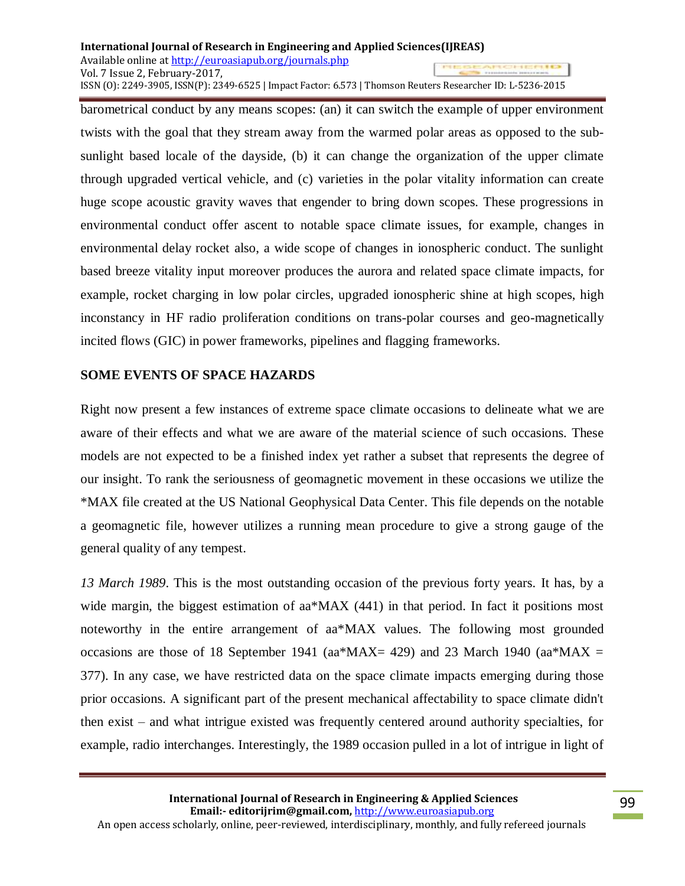barometrical conduct by any means scopes: (an) it can switch the example of upper environment twists with the goal that they stream away from the warmed polar areas as opposed to the subsunlight based locale of the dayside, (b) it can change the organization of the upper climate through upgraded vertical vehicle, and (c) varieties in the polar vitality information can create huge scope acoustic gravity waves that engender to bring down scopes. These progressions in environmental conduct offer ascent to notable space climate issues, for example, changes in environmental delay rocket also, a wide scope of changes in ionospheric conduct. The sunlight based breeze vitality input moreover produces the aurora and related space climate impacts, for example, rocket charging in low polar circles, upgraded ionospheric shine at high scopes, high inconstancy in HF radio proliferation conditions on trans-polar courses and geo-magnetically incited flows (GIC) in power frameworks, pipelines and flagging frameworks.

### **SOME EVENTS OF SPACE HAZARDS**

Right now present a few instances of extreme space climate occasions to delineate what we are aware of their effects and what we are aware of the material science of such occasions. These models are not expected to be a finished index yet rather a subset that represents the degree of our insight. To rank the seriousness of geomagnetic movement in these occasions we utilize the \*MAX file created at the US National Geophysical Data Center. This file depends on the notable a geomagnetic file, however utilizes a running mean procedure to give a strong gauge of the general quality of any tempest.

*13 March 1989*. This is the most outstanding occasion of the previous forty years. It has, by a wide margin, the biggest estimation of aa\*MAX (441) in that period. In fact it positions most noteworthy in the entire arrangement of aa\*MAX values. The following most grounded occasions are those of 18 September 1941 (aa\*MAX= 429) and 23 March 1940 (aa\*MAX = 377). In any case, we have restricted data on the space climate impacts emerging during those prior occasions. A significant part of the present mechanical affectability to space climate didn't then exist – and what intrigue existed was frequently centered around authority specialties, for example, radio interchanges. Interestingly, the 1989 occasion pulled in a lot of intrigue in light of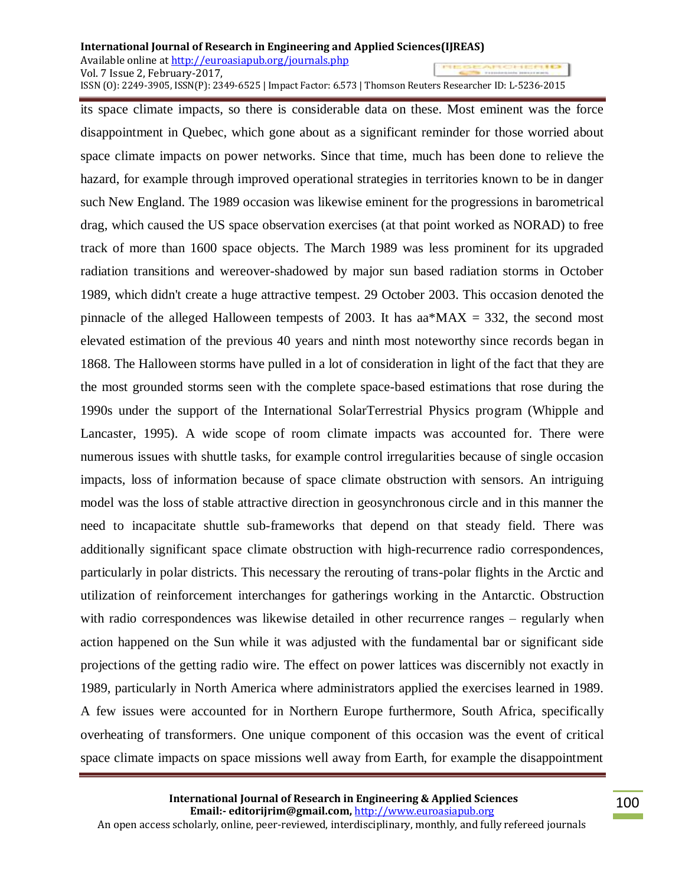its space climate impacts, so there is considerable data on these. Most eminent was the force disappointment in Quebec, which gone about as a significant reminder for those worried about space climate impacts on power networks. Since that time, much has been done to relieve the hazard, for example through improved operational strategies in territories known to be in danger such New England. The 1989 occasion was likewise eminent for the progressions in barometrical drag, which caused the US space observation exercises (at that point worked as NORAD) to free track of more than 1600 space objects. The March 1989 was less prominent for its upgraded radiation transitions and wereover-shadowed by major sun based radiation storms in October 1989, which didn't create a huge attractive tempest. 29 October 2003. This occasion denoted the pinnacle of the alleged Halloween tempests of 2003. It has aa\*MAX = 332, the second most elevated estimation of the previous 40 years and ninth most noteworthy since records began in 1868. The Halloween storms have pulled in a lot of consideration in light of the fact that they are the most grounded storms seen with the complete space-based estimations that rose during the 1990s under the support of the International SolarTerrestrial Physics program (Whipple and Lancaster, 1995). A wide scope of room climate impacts was accounted for. There were numerous issues with shuttle tasks, for example control irregularities because of single occasion impacts, loss of information because of space climate obstruction with sensors. An intriguing model was the loss of stable attractive direction in geosynchronous circle and in this manner the need to incapacitate shuttle sub-frameworks that depend on that steady field. There was additionally significant space climate obstruction with high-recurrence radio correspondences, particularly in polar districts. This necessary the rerouting of trans-polar flights in the Arctic and utilization of reinforcement interchanges for gatherings working in the Antarctic. Obstruction with radio correspondences was likewise detailed in other recurrence ranges – regularly when action happened on the Sun while it was adjusted with the fundamental bar or significant side projections of the getting radio wire. The effect on power lattices was discernibly not exactly in 1989, particularly in North America where administrators applied the exercises learned in 1989. A few issues were accounted for in Northern Europe furthermore, South Africa, specifically overheating of transformers. One unique component of this occasion was the event of critical space climate impacts on space missions well away from Earth, for example the disappointment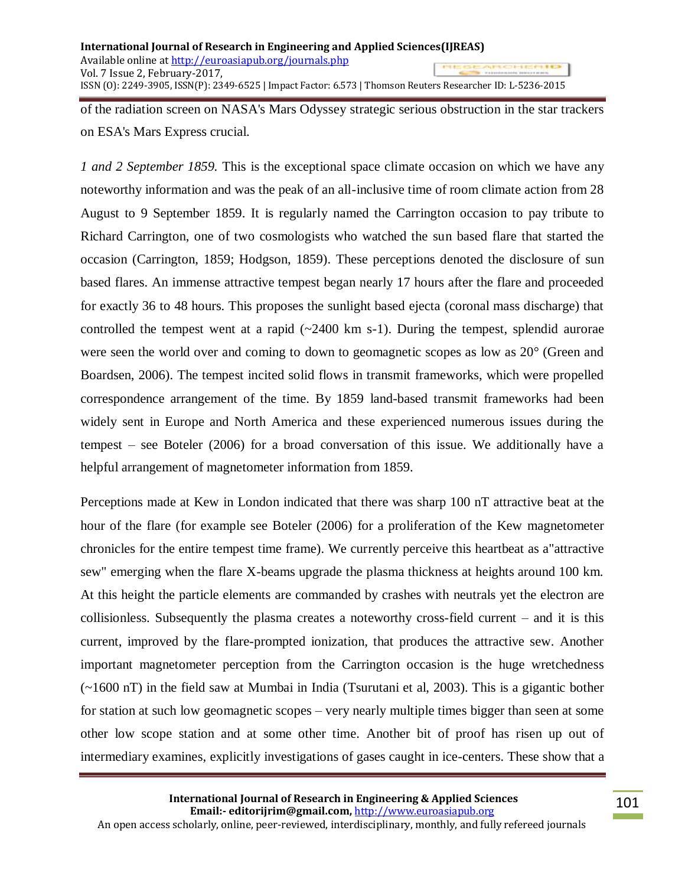of the radiation screen on NASA's Mars Odyssey strategic serious obstruction in the star trackers on ESA's Mars Express crucial.

*1 and 2 September 1859.* This is the exceptional space climate occasion on which we have any noteworthy information and was the peak of an all-inclusive time of room climate action from 28 August to 9 September 1859. It is regularly named the Carrington occasion to pay tribute to Richard Carrington, one of two cosmologists who watched the sun based flare that started the occasion (Carrington, 1859; Hodgson, 1859). These perceptions denoted the disclosure of sun based flares. An immense attractive tempest began nearly 17 hours after the flare and proceeded for exactly 36 to 48 hours. This proposes the sunlight based ejecta (coronal mass discharge) that controlled the tempest went at a rapid  $(-2400 \text{ km s-1})$ . During the tempest, splendid aurorae were seen the world over and coming to down to geomagnetic scopes as low as 20° (Green and Boardsen, 2006). The tempest incited solid flows in transmit frameworks, which were propelled correspondence arrangement of the time. By 1859 land-based transmit frameworks had been widely sent in Europe and North America and these experienced numerous issues during the tempest – see Boteler (2006) for a broad conversation of this issue. We additionally have a helpful arrangement of magnetometer information from 1859.

Perceptions made at Kew in London indicated that there was sharp 100 nT attractive beat at the hour of the flare (for example see Boteler (2006) for a proliferation of the Kew magnetometer chronicles for the entire tempest time frame). We currently perceive this heartbeat as a"attractive sew" emerging when the flare X-beams upgrade the plasma thickness at heights around 100 km. At this height the particle elements are commanded by crashes with neutrals yet the electron are collisionless. Subsequently the plasma creates a noteworthy cross-field current – and it is this current, improved by the flare-prompted ionization, that produces the attractive sew. Another important magnetometer perception from the Carrington occasion is the huge wretchedness (~1600 nT) in the field saw at Mumbai in India (Tsurutani et al, 2003). This is a gigantic bother for station at such low geomagnetic scopes – very nearly multiple times bigger than seen at some other low scope station and at some other time. Another bit of proof has risen up out of intermediary examines, explicitly investigations of gases caught in ice-centers. These show that a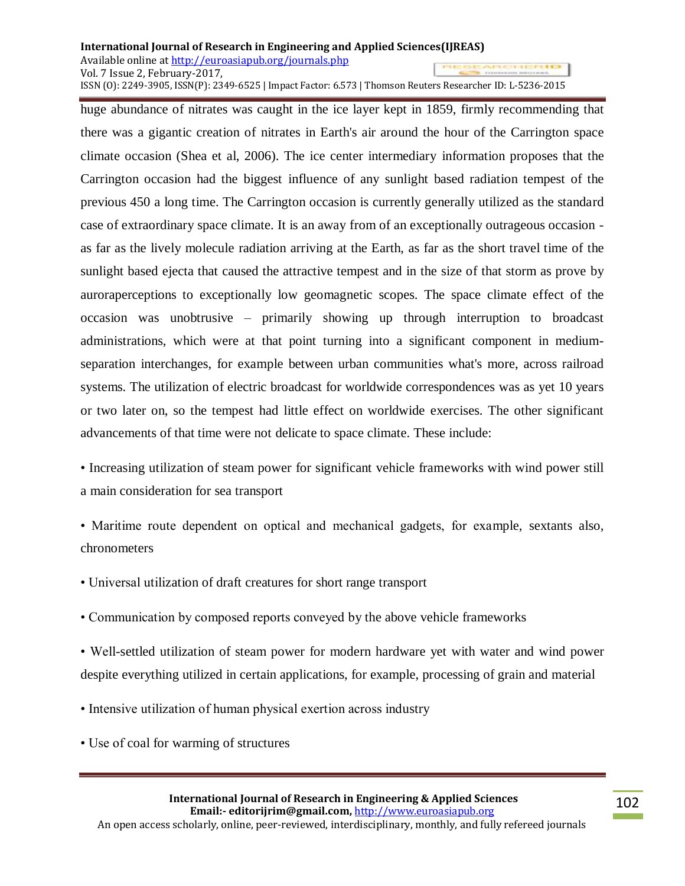huge abundance of nitrates was caught in the ice layer kept in 1859, firmly recommending that there was a gigantic creation of nitrates in Earth's air around the hour of the Carrington space climate occasion (Shea et al, 2006). The ice center intermediary information proposes that the Carrington occasion had the biggest influence of any sunlight based radiation tempest of the previous 450 a long time. The Carrington occasion is currently generally utilized as the standard case of extraordinary space climate. It is an away from of an exceptionally outrageous occasion as far as the lively molecule radiation arriving at the Earth, as far as the short travel time of the sunlight based ejecta that caused the attractive tempest and in the size of that storm as prove by auroraperceptions to exceptionally low geomagnetic scopes. The space climate effect of the occasion was unobtrusive – primarily showing up through interruption to broadcast administrations, which were at that point turning into a significant component in mediumseparation interchanges, for example between urban communities what's more, across railroad systems. The utilization of electric broadcast for worldwide correspondences was as yet 10 years or two later on, so the tempest had little effect on worldwide exercises. The other significant advancements of that time were not delicate to space climate. These include:

• Increasing utilization of steam power for significant vehicle frameworks with wind power still a main consideration for sea transport

- Maritime route dependent on optical and mechanical gadgets, for example, sextants also, chronometers
- Universal utilization of draft creatures for short range transport
- Communication by composed reports conveyed by the above vehicle frameworks

• Well-settled utilization of steam power for modern hardware yet with water and wind power despite everything utilized in certain applications, for example, processing of grain and material

- Intensive utilization of human physical exertion across industry
- Use of coal for warming of structures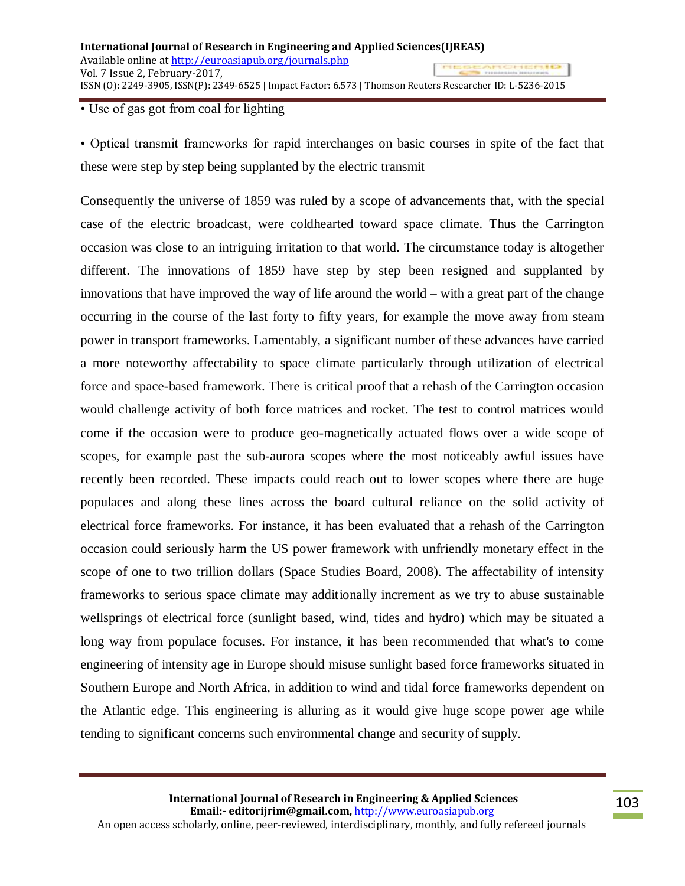### • Use of gas got from coal for lighting

• Optical transmit frameworks for rapid interchanges on basic courses in spite of the fact that these were step by step being supplanted by the electric transmit

Consequently the universe of 1859 was ruled by a scope of advancements that, with the special case of the electric broadcast, were coldhearted toward space climate. Thus the Carrington occasion was close to an intriguing irritation to that world. The circumstance today is altogether different. The innovations of 1859 have step by step been resigned and supplanted by innovations that have improved the way of life around the world – with a great part of the change occurring in the course of the last forty to fifty years, for example the move away from steam power in transport frameworks. Lamentably, a significant number of these advances have carried a more noteworthy affectability to space climate particularly through utilization of electrical force and space-based framework. There is critical proof that a rehash of the Carrington occasion would challenge activity of both force matrices and rocket. The test to control matrices would come if the occasion were to produce geo-magnetically actuated flows over a wide scope of scopes, for example past the sub-aurora scopes where the most noticeably awful issues have recently been recorded. These impacts could reach out to lower scopes where there are huge populaces and along these lines across the board cultural reliance on the solid activity of electrical force frameworks. For instance, it has been evaluated that a rehash of the Carrington occasion could seriously harm the US power framework with unfriendly monetary effect in the scope of one to two trillion dollars (Space Studies Board, 2008). The affectability of intensity frameworks to serious space climate may additionally increment as we try to abuse sustainable wellsprings of electrical force (sunlight based, wind, tides and hydro) which may be situated a long way from populace focuses. For instance, it has been recommended that what's to come engineering of intensity age in Europe should misuse sunlight based force frameworks situated in Southern Europe and North Africa, in addition to wind and tidal force frameworks dependent on the Atlantic edge. This engineering is alluring as it would give huge scope power age while tending to significant concerns such environmental change and security of supply.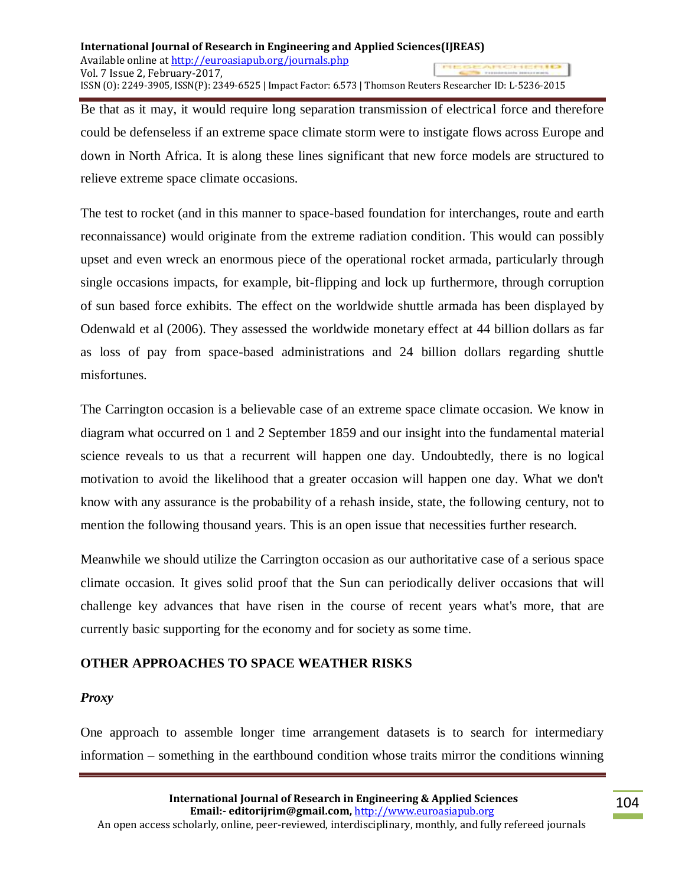Be that as it may, it would require long separation transmission of electrical force and therefore could be defenseless if an extreme space climate storm were to instigate flows across Europe and down in North Africa. It is along these lines significant that new force models are structured to relieve extreme space climate occasions.

The test to rocket (and in this manner to space-based foundation for interchanges, route and earth reconnaissance) would originate from the extreme radiation condition. This would can possibly upset and even wreck an enormous piece of the operational rocket armada, particularly through single occasions impacts, for example, bit-flipping and lock up furthermore, through corruption of sun based force exhibits. The effect on the worldwide shuttle armada has been displayed by Odenwald et al (2006). They assessed the worldwide monetary effect at 44 billion dollars as far as loss of pay from space-based administrations and 24 billion dollars regarding shuttle misfortunes.

The Carrington occasion is a believable case of an extreme space climate occasion. We know in diagram what occurred on 1 and 2 September 1859 and our insight into the fundamental material science reveals to us that a recurrent will happen one day. Undoubtedly, there is no logical motivation to avoid the likelihood that a greater occasion will happen one day. What we don't know with any assurance is the probability of a rehash inside, state, the following century, not to mention the following thousand years. This is an open issue that necessities further research.

Meanwhile we should utilize the Carrington occasion as our authoritative case of a serious space climate occasion. It gives solid proof that the Sun can periodically deliver occasions that will challenge key advances that have risen in the course of recent years what's more, that are currently basic supporting for the economy and for society as some time.

# **OTHER APPROACHES TO SPACE WEATHER RISKS**

### *Proxy*

One approach to assemble longer time arrangement datasets is to search for intermediary information – something in the earthbound condition whose traits mirror the conditions winning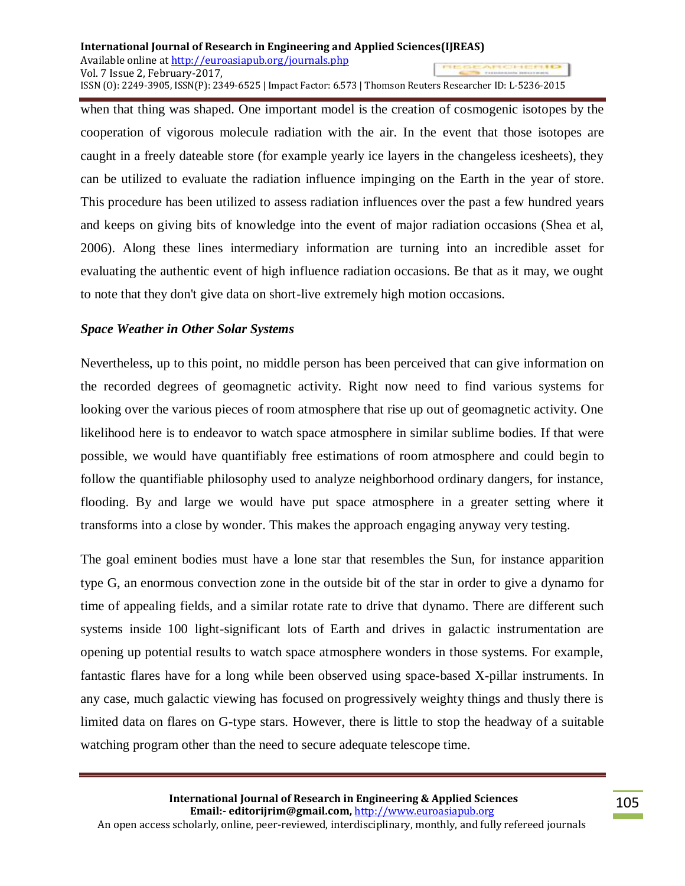when that thing was shaped. One important model is the creation of cosmogenic isotopes by the cooperation of vigorous molecule radiation with the air. In the event that those isotopes are caught in a freely dateable store (for example yearly ice layers in the changeless icesheets), they can be utilized to evaluate the radiation influence impinging on the Earth in the year of store. This procedure has been utilized to assess radiation influences over the past a few hundred years and keeps on giving bits of knowledge into the event of major radiation occasions (Shea et al, 2006). Along these lines intermediary information are turning into an incredible asset for evaluating the authentic event of high influence radiation occasions. Be that as it may, we ought to note that they don't give data on short-live extremely high motion occasions.

# *Space Weather in Other Solar Systems*

Nevertheless, up to this point, no middle person has been perceived that can give information on the recorded degrees of geomagnetic activity. Right now need to find various systems for looking over the various pieces of room atmosphere that rise up out of geomagnetic activity. One likelihood here is to endeavor to watch space atmosphere in similar sublime bodies. If that were possible, we would have quantifiably free estimations of room atmosphere and could begin to follow the quantifiable philosophy used to analyze neighborhood ordinary dangers, for instance, flooding. By and large we would have put space atmosphere in a greater setting where it transforms into a close by wonder. This makes the approach engaging anyway very testing.

The goal eminent bodies must have a lone star that resembles the Sun, for instance apparition type G, an enormous convection zone in the outside bit of the star in order to give a dynamo for time of appealing fields, and a similar rotate rate to drive that dynamo. There are different such systems inside 100 light-significant lots of Earth and drives in galactic instrumentation are opening up potential results to watch space atmosphere wonders in those systems. For example, fantastic flares have for a long while been observed using space-based X-pillar instruments. In any case, much galactic viewing has focused on progressively weighty things and thusly there is limited data on flares on G-type stars. However, there is little to stop the headway of a suitable watching program other than the need to secure adequate telescope time.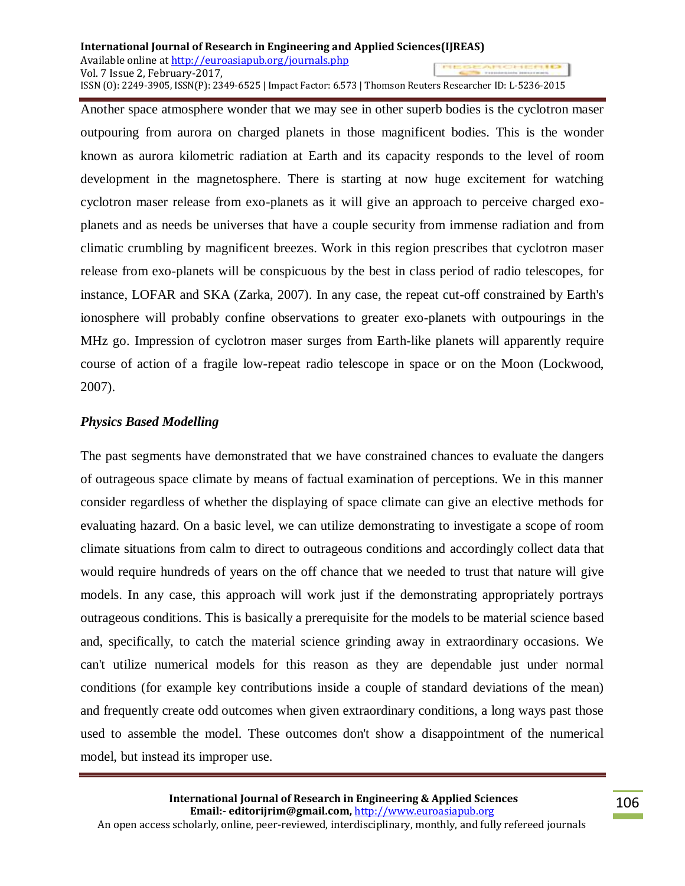Another space atmosphere wonder that we may see in other superb bodies is the cyclotron maser outpouring from aurora on charged planets in those magnificent bodies. This is the wonder known as aurora kilometric radiation at Earth and its capacity responds to the level of room development in the magnetosphere. There is starting at now huge excitement for watching cyclotron maser release from exo-planets as it will give an approach to perceive charged exoplanets and as needs be universes that have a couple security from immense radiation and from climatic crumbling by magnificent breezes. Work in this region prescribes that cyclotron maser release from exo-planets will be conspicuous by the best in class period of radio telescopes, for instance, LOFAR and SKA (Zarka, 2007). In any case, the repeat cut-off constrained by Earth's ionosphere will probably confine observations to greater exo-planets with outpourings in the MHz go. Impression of cyclotron maser surges from Earth-like planets will apparently require course of action of a fragile low-repeat radio telescope in space or on the Moon (Lockwood, 2007).

### *Physics Based Modelling*

The past segments have demonstrated that we have constrained chances to evaluate the dangers of outrageous space climate by means of factual examination of perceptions. We in this manner consider regardless of whether the displaying of space climate can give an elective methods for evaluating hazard. On a basic level, we can utilize demonstrating to investigate a scope of room climate situations from calm to direct to outrageous conditions and accordingly collect data that would require hundreds of years on the off chance that we needed to trust that nature will give models. In any case, this approach will work just if the demonstrating appropriately portrays outrageous conditions. This is basically a prerequisite for the models to be material science based and, specifically, to catch the material science grinding away in extraordinary occasions. We can't utilize numerical models for this reason as they are dependable just under normal conditions (for example key contributions inside a couple of standard deviations of the mean) and frequently create odd outcomes when given extraordinary conditions, a long ways past those used to assemble the model. These outcomes don't show a disappointment of the numerical model, but instead its improper use.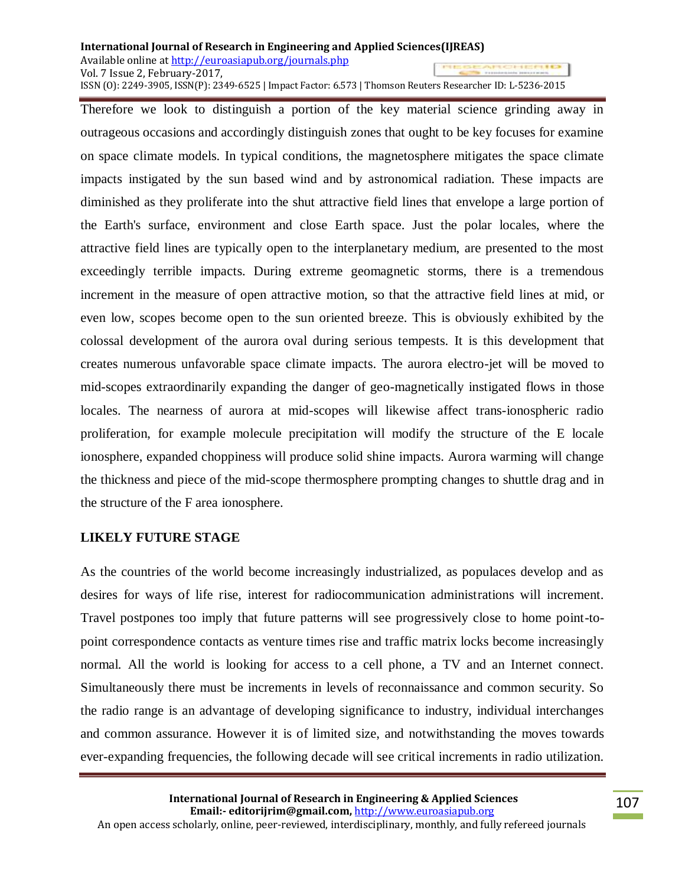Therefore we look to distinguish a portion of the key material science grinding away in outrageous occasions and accordingly distinguish zones that ought to be key focuses for examine on space climate models. In typical conditions, the magnetosphere mitigates the space climate impacts instigated by the sun based wind and by astronomical radiation. These impacts are diminished as they proliferate into the shut attractive field lines that envelope a large portion of the Earth's surface, environment and close Earth space. Just the polar locales, where the attractive field lines are typically open to the interplanetary medium, are presented to the most exceedingly terrible impacts. During extreme geomagnetic storms, there is a tremendous increment in the measure of open attractive motion, so that the attractive field lines at mid, or even low, scopes become open to the sun oriented breeze. This is obviously exhibited by the colossal development of the aurora oval during serious tempests. It is this development that creates numerous unfavorable space climate impacts. The aurora electro-jet will be moved to mid-scopes extraordinarily expanding the danger of geo-magnetically instigated flows in those locales. The nearness of aurora at mid-scopes will likewise affect trans-ionospheric radio proliferation, for example molecule precipitation will modify the structure of the E locale ionosphere, expanded choppiness will produce solid shine impacts. Aurora warming will change the thickness and piece of the mid-scope thermosphere prompting changes to shuttle drag and in the structure of the F area ionosphere.

# **LIKELY FUTURE STAGE**

As the countries of the world become increasingly industrialized, as populaces develop and as desires for ways of life rise, interest for radiocommunication administrations will increment. Travel postpones too imply that future patterns will see progressively close to home point-topoint correspondence contacts as venture times rise and traffic matrix locks become increasingly normal. All the world is looking for access to a cell phone, a TV and an Internet connect. Simultaneously there must be increments in levels of reconnaissance and common security. So the radio range is an advantage of developing significance to industry, individual interchanges and common assurance. However it is of limited size, and notwithstanding the moves towards ever-expanding frequencies, the following decade will see critical increments in radio utilization.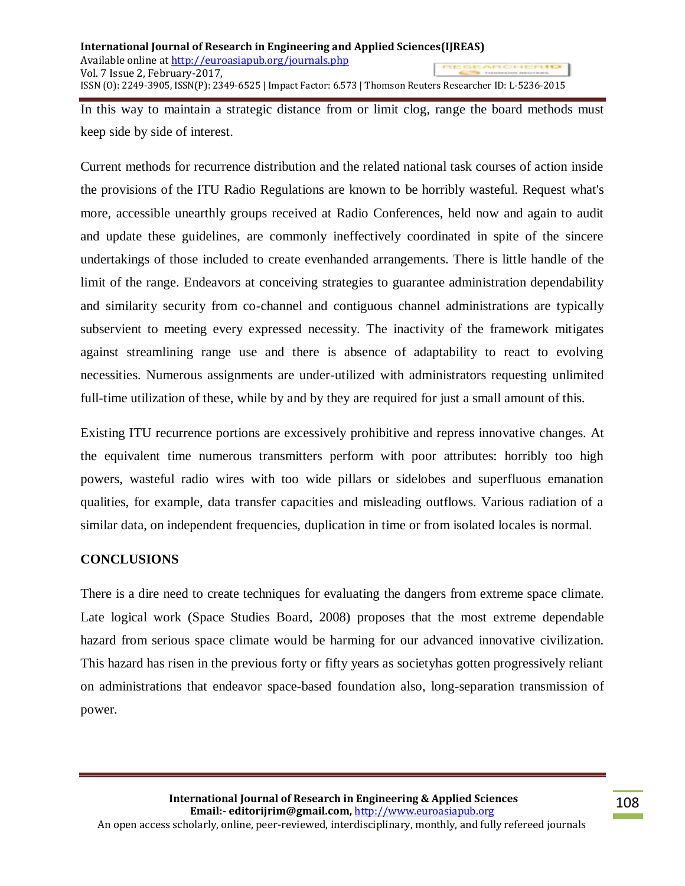In this way to maintain a strategic distance from or limit clog, range the board methods must keep side by side of interest.

Current methods for recurrence distribution and the related national task courses of action inside the provisions of the ITU Radio Regulations are known to be horribly wasteful. Request what's more, accessible unearthly groups received at Radio Conferences, held now and again to audit and update these guidelines, are commonly ineffectively coordinated in spite of the sincere undertakings of those included to create evenhanded arrangements. There is little handle of the limit of the range. Endeavors at conceiving strategies to guarantee administration dependability and similarity security from co-channel and contiguous channel administrations are typically subservient to meeting every expressed necessity. The inactivity of the framework mitigates against streamlining range use and there is absence of adaptability to react to evolving necessities. Numerous assignments are under-utilized with administrators requesting unlimited full-time utilization of these, while by and by they are required for just a small amount of this.

Existing ITU recurrence portions are excessively prohibitive and repress innovative changes. At the equivalent time numerous transmitters perform with poor attributes: horribly too high powers, wasteful radio wires with too wide pillars or sidelobes and superfluous emanation qualities, for example, data transfer capacities and misleading outflows. Various radiation of a similar data, on independent frequencies, duplication in time or from isolated locales is normal.

# **CONCLUSIONS**

There is a dire need to create techniques for evaluating the dangers from extreme space climate. Late logical work (Space Studies Board, 2008) proposes that the most extreme dependable hazard from serious space climate would be harming for our advanced innovative civilization. This hazard has risen in the previous forty or fifty years as societyhas gotten progressively reliant on administrations that endeavor space-based foundation also, long-separation transmission of power.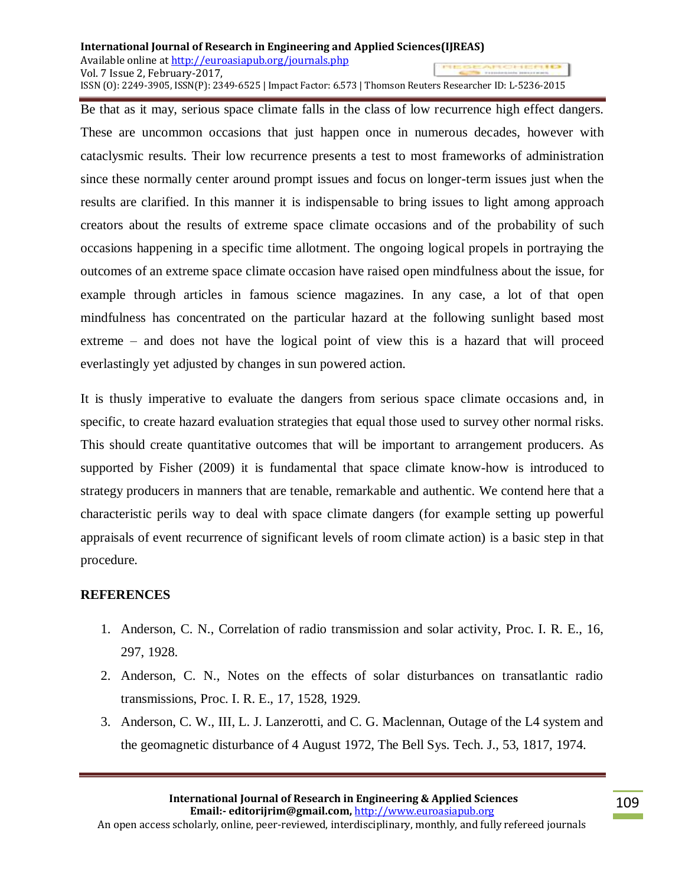Be that as it may, serious space climate falls in the class of low recurrence high effect dangers. These are uncommon occasions that just happen once in numerous decades, however with cataclysmic results. Their low recurrence presents a test to most frameworks of administration since these normally center around prompt issues and focus on longer-term issues just when the results are clarified. In this manner it is indispensable to bring issues to light among approach creators about the results of extreme space climate occasions and of the probability of such occasions happening in a specific time allotment. The ongoing logical propels in portraying the outcomes of an extreme space climate occasion have raised open mindfulness about the issue, for example through articles in famous science magazines. In any case, a lot of that open mindfulness has concentrated on the particular hazard at the following sunlight based most extreme – and does not have the logical point of view this is a hazard that will proceed everlastingly yet adjusted by changes in sun powered action.

It is thusly imperative to evaluate the dangers from serious space climate occasions and, in specific, to create hazard evaluation strategies that equal those used to survey other normal risks. This should create quantitative outcomes that will be important to arrangement producers. As supported by Fisher (2009) it is fundamental that space climate know-how is introduced to strategy producers in manners that are tenable, remarkable and authentic. We contend here that a characteristic perils way to deal with space climate dangers (for example setting up powerful appraisals of event recurrence of significant levels of room climate action) is a basic step in that procedure.

# **REFERENCES**

- 1. Anderson, C. N., Correlation of radio transmission and solar activity, Proc. I. R. E., 16, 297, 1928.
- 2. Anderson, C. N., Notes on the effects of solar disturbances on transatlantic radio transmissions, Proc. I. R. E., 17, 1528, 1929.
- 3. Anderson, C. W., III, L. J. Lanzerotti, and C. G. Maclennan, Outage of the L4 system and the geomagnetic disturbance of 4 August 1972, The Bell Sys. Tech. J., 53, 1817, 1974.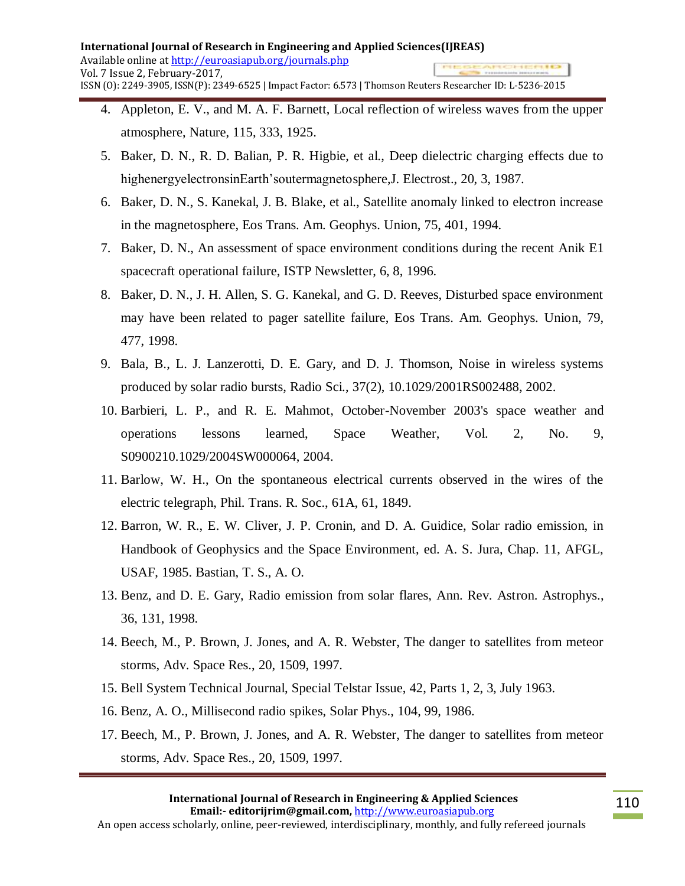- 4. Appleton, E. V., and M. A. F. Barnett, Local reflection of wireless waves from the upper atmosphere, Nature, 115, 333, 1925.
- 5. Baker, D. N., R. D. Balian, P. R. Higbie, et al., Deep dielectric charging effects due to highenergyelectronsinEarth'soutermagnetosphere, J. Electrost., 20, 3, 1987.
- 6. Baker, D. N., S. Kanekal, J. B. Blake, et al., Satellite anomaly linked to electron increase in the magnetosphere, Eos Trans. Am. Geophys. Union, 75, 401, 1994.
- 7. Baker, D. N., An assessment of space environment conditions during the recent Anik E1 spacecraft operational failure, ISTP Newsletter, 6, 8, 1996.
- 8. Baker, D. N., J. H. Allen, S. G. Kanekal, and G. D. Reeves, Disturbed space environment may have been related to pager satellite failure, Eos Trans. Am. Geophys. Union, 79, 477, 1998.
- 9. Bala, B., L. J. Lanzerotti, D. E. Gary, and D. J. Thomson, Noise in wireless systems produced by solar radio bursts, Radio Sci., 37(2), 10.1029/2001RS002488, 2002.
- 10. Barbieri, L. P., and R. E. Mahmot, October-November 2003's space weather and operations lessons learned, Space Weather, Vol. 2, No. 9, S0900210.1029/2004SW000064, 2004.
- 11. Barlow, W. H., On the spontaneous electrical currents observed in the wires of the electric telegraph, Phil. Trans. R. Soc., 61A, 61, 1849.
- 12. Barron, W. R., E. W. Cliver, J. P. Cronin, and D. A. Guidice, Solar radio emission, in Handbook of Geophysics and the Space Environment, ed. A. S. Jura, Chap. 11, AFGL, USAF, 1985. Bastian, T. S., A. O.
- 13. Benz, and D. E. Gary, Radio emission from solar flares, Ann. Rev. Astron. Astrophys., 36, 131, 1998.
- 14. Beech, M., P. Brown, J. Jones, and A. R. Webster, The danger to satellites from meteor storms, Adv. Space Res., 20, 1509, 1997.
- 15. Bell System Technical Journal, Special Telstar Issue, 42, Parts 1, 2, 3, July 1963.
- 16. Benz, A. O., Millisecond radio spikes, Solar Phys., 104, 99, 1986.
- 17. Beech, M., P. Brown, J. Jones, and A. R. Webster, The danger to satellites from meteor storms, Adv. Space Res., 20, 1509, 1997.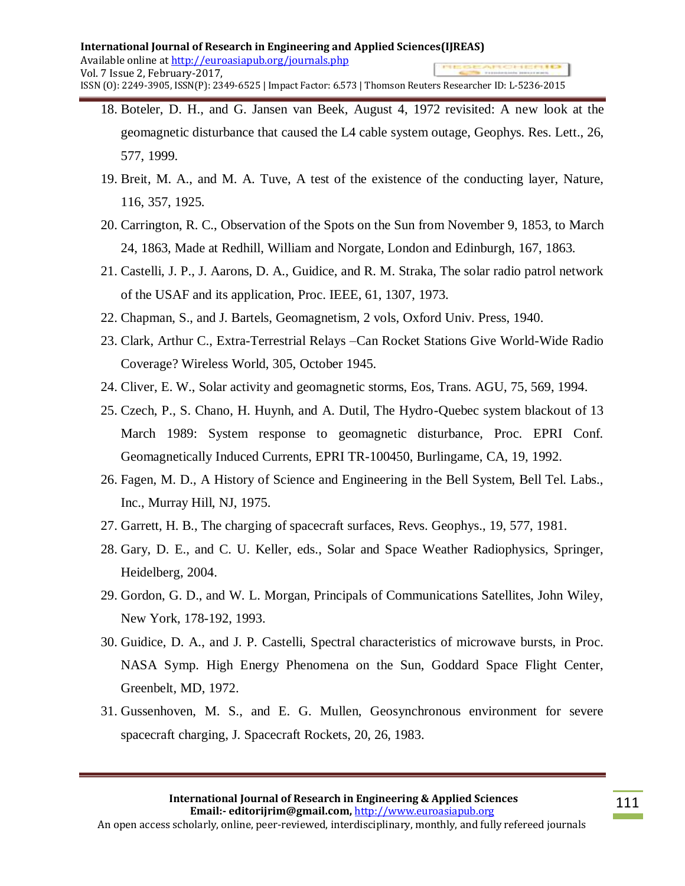- 18. Boteler, D. H., and G. Jansen van Beek, August 4, 1972 revisited: A new look at the geomagnetic disturbance that caused the L4 cable system outage, Geophys. Res. Lett., 26, 577, 1999.
- 19. Breit, M. A., and M. A. Tuve, A test of the existence of the conducting layer, Nature, 116, 357, 1925.
- 20. Carrington, R. C., Observation of the Spots on the Sun from November 9, 1853, to March 24, 1863, Made at Redhill, William and Norgate, London and Edinburgh, 167, 1863.
- 21. Castelli, J. P., J. Aarons, D. A., Guidice, and R. M. Straka, The solar radio patrol network of the USAF and its application, Proc. IEEE, 61, 1307, 1973.
- 22. Chapman, S., and J. Bartels, Geomagnetism, 2 vols, Oxford Univ. Press, 1940.
- 23. Clark, Arthur C., Extra-Terrestrial Relays –Can Rocket Stations Give World-Wide Radio Coverage? Wireless World, 305, October 1945.
- 24. Cliver, E. W., Solar activity and geomagnetic storms, Eos, Trans. AGU, 75, 569, 1994.
- 25. Czech, P., S. Chano, H. Huynh, and A. Dutil, The Hydro-Quebec system blackout of 13 March 1989: System response to geomagnetic disturbance, Proc. EPRI Conf. Geomagnetically Induced Currents, EPRI TR-100450, Burlingame, CA, 19, 1992.
- 26. Fagen, M. D., A History of Science and Engineering in the Bell System, Bell Tel. Labs., Inc., Murray Hill, NJ, 1975.
- 27. Garrett, H. B., The charging of spacecraft surfaces, Revs. Geophys., 19, 577, 1981.
- 28. Gary, D. E., and C. U. Keller, eds., Solar and Space Weather Radiophysics, Springer, Heidelberg, 2004.
- 29. Gordon, G. D., and W. L. Morgan, Principals of Communications Satellites, John Wiley, New York, 178-192, 1993.
- 30. Guidice, D. A., and J. P. Castelli, Spectral characteristics of microwave bursts, in Proc. NASA Symp. High Energy Phenomena on the Sun, Goddard Space Flight Center, Greenbelt, MD, 1972.
- 31. Gussenhoven, M. S., and E. G. Mullen, Geosynchronous environment for severe spacecraft charging, J. Spacecraft Rockets, 20, 26, 1983.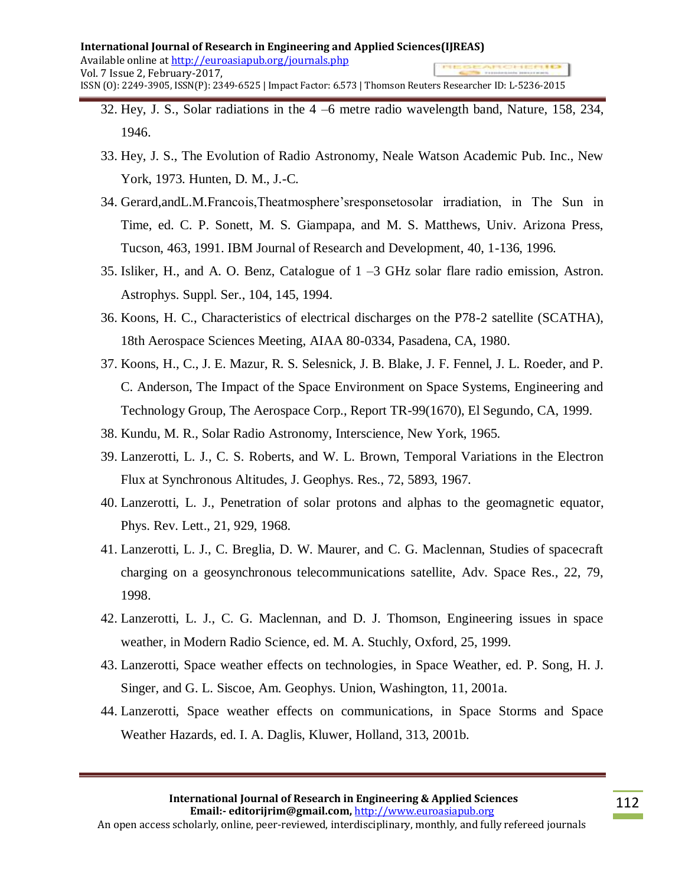- 32. Hey, J. S., Solar radiations in the 4 –6 metre radio wavelength band, Nature, 158, 234, 1946.
- 33. Hey, J. S., The Evolution of Radio Astronomy, Neale Watson Academic Pub. Inc., New York, 1973. Hunten, D. M., J.-C.
- 34. Gerard,andL.M.Francois,Theatmosphere'sresponsetosolar irradiation, in The Sun in Time, ed. C. P. Sonett, M. S. Giampapa, and M. S. Matthews, Univ. Arizona Press, Tucson, 463, 1991. IBM Journal of Research and Development, 40, 1-136, 1996.
- 35. Isliker, H., and A. O. Benz, Catalogue of 1 –3 GHz solar flare radio emission, Astron. Astrophys. Suppl. Ser., 104, 145, 1994.
- 36. Koons, H. C., Characteristics of electrical discharges on the P78-2 satellite (SCATHA), 18th Aerospace Sciences Meeting, AIAA 80-0334, Pasadena, CA, 1980.
- 37. Koons, H., C., J. E. Mazur, R. S. Selesnick, J. B. Blake, J. F. Fennel, J. L. Roeder, and P. C. Anderson, The Impact of the Space Environment on Space Systems, Engineering and Technology Group, The Aerospace Corp., Report TR-99(1670), El Segundo, CA, 1999.
- 38. Kundu, M. R., Solar Radio Astronomy, Interscience, New York, 1965.
- 39. Lanzerotti, L. J., C. S. Roberts, and W. L. Brown, Temporal Variations in the Electron Flux at Synchronous Altitudes, J. Geophys. Res., 72, 5893, 1967.
- 40. Lanzerotti, L. J., Penetration of solar protons and alphas to the geomagnetic equator, Phys. Rev. Lett., 21, 929, 1968.
- 41. Lanzerotti, L. J., C. Breglia, D. W. Maurer, and C. G. Maclennan, Studies of spacecraft charging on a geosynchronous telecommunications satellite, Adv. Space Res., 22, 79, 1998.
- 42. Lanzerotti, L. J., C. G. Maclennan, and D. J. Thomson, Engineering issues in space weather, in Modern Radio Science, ed. M. A. Stuchly, Oxford, 25, 1999.
- 43. Lanzerotti, Space weather effects on technologies, in Space Weather, ed. P. Song, H. J. Singer, and G. L. Siscoe, Am. Geophys. Union, Washington, 11, 2001a.
- 44. Lanzerotti, Space weather effects on communications, in Space Storms and Space Weather Hazards, ed. I. A. Daglis, Kluwer, Holland, 313, 2001b.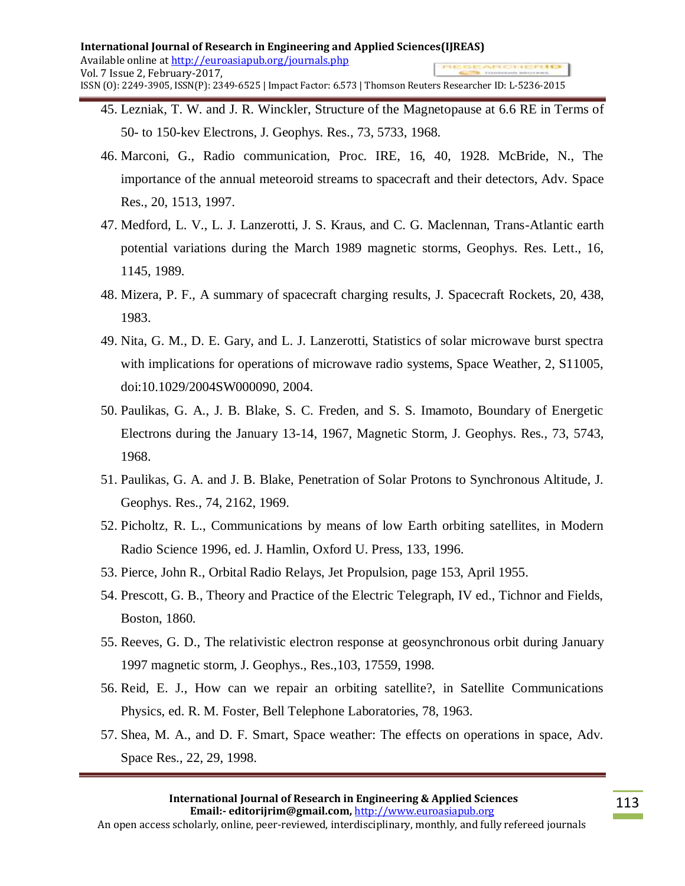- 45. Lezniak, T. W. and J. R. Winckler, Structure of the Magnetopause at 6.6 RE in Terms of 50- to 150-kev Electrons, J. Geophys. Res., 73, 5733, 1968.
- 46. Marconi, G., Radio communication, Proc. IRE, 16, 40, 1928. McBride, N., The importance of the annual meteoroid streams to spacecraft and their detectors, Adv. Space Res., 20, 1513, 1997.
- 47. Medford, L. V., L. J. Lanzerotti, J. S. Kraus, and C. G. Maclennan, Trans-Atlantic earth potential variations during the March 1989 magnetic storms, Geophys. Res. Lett., 16, 1145, 1989.
- 48. Mizera, P. F., A summary of spacecraft charging results, J. Spacecraft Rockets, 20, 438, 1983.
- 49. Nita, G. M., D. E. Gary, and L. J. Lanzerotti, Statistics of solar microwave burst spectra with implications for operations of microwave radio systems, Space Weather, 2, S11005, doi:10.1029/2004SW000090, 2004.
- 50. Paulikas, G. A., J. B. Blake, S. C. Freden, and S. S. Imamoto, Boundary of Energetic Electrons during the January 13-14, 1967, Magnetic Storm, J. Geophys. Res., 73, 5743, 1968.
- 51. Paulikas, G. A. and J. B. Blake, Penetration of Solar Protons to Synchronous Altitude, J. Geophys. Res., 74, 2162, 1969.
- 52. Picholtz, R. L., Communications by means of low Earth orbiting satellites, in Modern Radio Science 1996, ed. J. Hamlin, Oxford U. Press, 133, 1996.
- 53. Pierce, John R., Orbital Radio Relays, Jet Propulsion, page 153, April 1955.
- 54. Prescott, G. B., Theory and Practice of the Electric Telegraph, IV ed., Tichnor and Fields, Boston, 1860.
- 55. Reeves, G. D., The relativistic electron response at geosynchronous orbit during January 1997 magnetic storm, J. Geophys., Res.,103, 17559, 1998.
- 56. Reid, E. J., How can we repair an orbiting satellite?, in Satellite Communications Physics, ed. R. M. Foster, Bell Telephone Laboratories, 78, 1963.
- 57. Shea, M. A., and D. F. Smart, Space weather: The effects on operations in space, Adv. Space Res., 22, 29, 1998.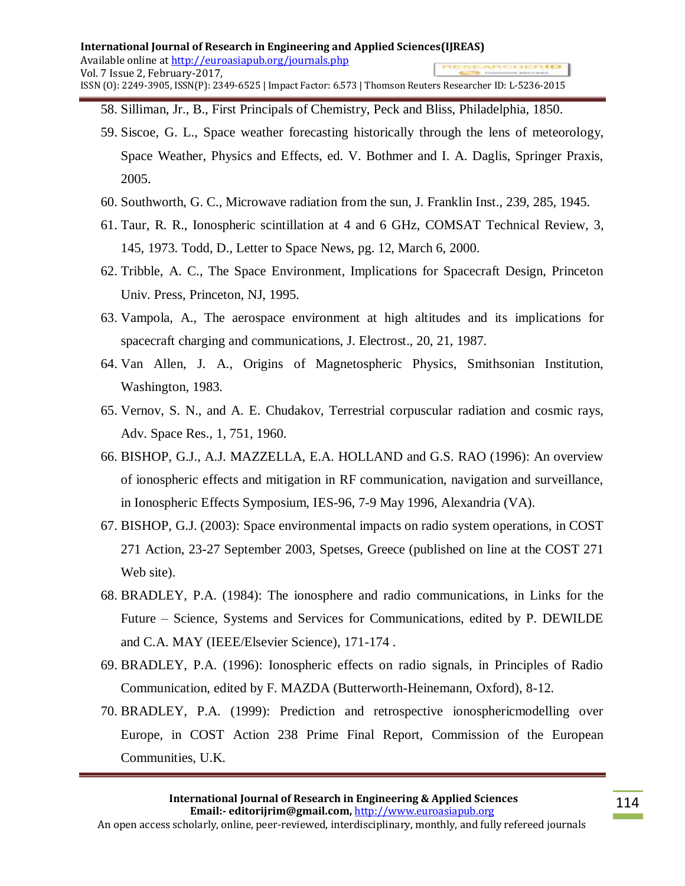- 58. Silliman, Jr., B., First Principals of Chemistry, Peck and Bliss, Philadelphia, 1850.
- 59. Siscoe, G. L., Space weather forecasting historically through the lens of meteorology, Space Weather, Physics and Effects, ed. V. Bothmer and I. A. Daglis, Springer Praxis, 2005.
- 60. Southworth, G. C., Microwave radiation from the sun, J. Franklin Inst., 239, 285, 1945.
- 61. Taur, R. R., Ionospheric scintillation at 4 and 6 GHz, COMSAT Technical Review, 3, 145, 1973. Todd, D., Letter to Space News, pg. 12, March 6, 2000.
- 62. Tribble, A. C., The Space Environment, Implications for Spacecraft Design, Princeton Univ. Press, Princeton, NJ, 1995.
- 63. Vampola, A., The aerospace environment at high altitudes and its implications for spacecraft charging and communications, J. Electrost., 20, 21, 1987.
- 64. Van Allen, J. A., Origins of Magnetospheric Physics, Smithsonian Institution, Washington, 1983.
- 65. Vernov, S. N., and A. E. Chudakov, Terrestrial corpuscular radiation and cosmic rays, Adv. Space Res., 1, 751, 1960.
- 66. BISHOP, G.J., A.J. MAZZELLA, E.A. HOLLAND and G.S. RAO (1996): An overview of ionospheric effects and mitigation in RF communication, navigation and surveillance, in Ionospheric Effects Symposium, IES-96, 7-9 May 1996, Alexandria (VA).
- 67. BISHOP, G.J. (2003): Space environmental impacts on radio system operations, in COST 271 Action, 23-27 September 2003, Spetses, Greece (published on line at the COST 271 Web site).
- 68. BRADLEY, P.A. (1984): The ionosphere and radio communications, in Links for the Future – Science, Systems and Services for Communications, edited by P. DEWILDE and C.A. MAY (IEEE/Elsevier Science), 171-174 .
- 69. BRADLEY, P.A. (1996): Ionospheric effects on radio signals, in Principles of Radio Communication, edited by F. MAZDA (Butterworth-Heinemann, Oxford), 8-12.
- 70. BRADLEY, P.A. (1999): Prediction and retrospective ionosphericmodelling over Europe, in COST Action 238 Prime Final Report, Commission of the European Communities, U.K.